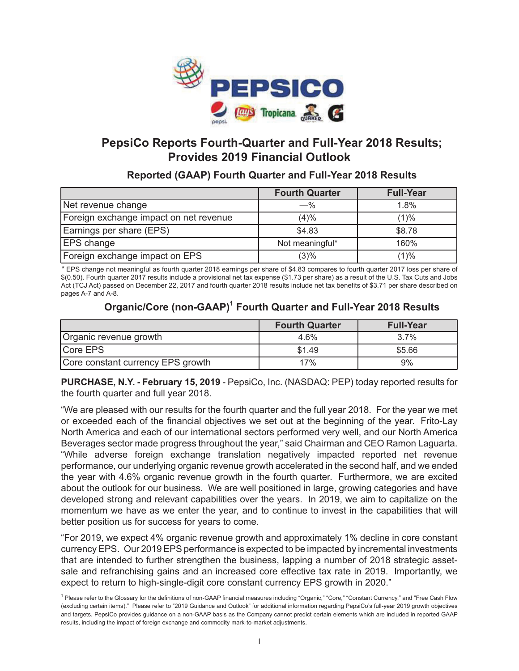

# **PepsiCo Reports Fourth-Quarter and Full-Year 2018 Results; Provides 2019 Financial Outlook**

**Reported (GAAP) Fourth Quarter and Full-Year 2018 Results**

|                                        | <b>Fourth Quarter</b> | <b>Full-Year</b> |
|----------------------------------------|-----------------------|------------------|
| Net revenue change                     | $-$ %                 | 1.8%             |
| Foreign exchange impact on net revenue | (4)%                  | (1)%             |
| Earnings per share (EPS)               | \$4.83                | \$8.78           |
| <b>EPS</b> change                      | Not meaningful*       | 160%             |
| Foreign exchange impact on EPS         | (3)%                  | (1)%             |

*\** EPS change not meaningful as fourth quarter 2018 earnings per share of \$4.83 compares to fourth quarter 2017 loss per share of \$(0.50). Fourth quarter 2017 results include a provisional net tax expense (\$1.73 per share) as a result of the U.S. Tax Cuts and Jobs Act (TCJ Act) passed on December 22, 2017 and fourth quarter 2018 results include net tax benefits of \$3.71 per share described on pages A-7 and A-8.

# **Organic/Core (non-GAAP)1 Fourth Quarter and Full-Year 2018 Results**

|                                   | <b>Fourth Quarter</b> | <b>Full-Year</b> |
|-----------------------------------|-----------------------|------------------|
| Organic revenue growth            | 4.6%                  | 3.7%             |
| Core EPS                          | \$1.49                | \$5.66           |
| Core constant currency EPS growth | 17%                   | 9%               |

**PURCHASE, N.Y. - February 15, 2019** - PepsiCo, Inc. (NASDAQ: PEP) today reported results for the fourth quarter and full year 2018.

"We are pleased with our results for the fourth quarter and the full year 2018. For the year we met or exceeded each of the financial objectives we set out at the beginning of the year. Frito-Lay North America and each of our international sectors performed very well, and our North America Beverages sector made progress throughout the year," said Chairman and CEO Ramon Laguarta. "While adverse foreign exchange translation negatively impacted reported net revenue performance, our underlying organic revenue growth accelerated in the second half, and we ended the year with 4.6% organic revenue growth in the fourth quarter. Furthermore, we are excited about the outlook for our business. We are well positioned in large, growing categories and have developed strong and relevant capabilities over the years. In 2019, we aim to capitalize on the momentum we have as we enter the year, and to continue to invest in the capabilities that will better position us for success for years to come.

"For 2019, we expect 4% organic revenue growth and approximately 1% decline in core constant currency EPS. Our 2019 EPS performance is expected to be impacted by incremental investments that are intended to further strengthen the business, lapping a number of 2018 strategic assetsale and refranchising gains and an increased core effective tax rate in 2019. Importantly, we expect to return to high-single-digit core constant currency EPS growth in 2020."

<sup>&</sup>lt;sup>1</sup> Please refer to the Glossary for the definitions of non-GAAP financial measures including "Organic," "Core," "Constant Currency," and "Free Cash Flow (excluding certain items)." Please refer to "2019 Guidance and Outlook" for additional information regarding PepsiCo's full-year 2019 growth objectives and targets. PepsiCo provides guidance on a non-GAAP basis as the Company cannot predict certain elements which are included in reported GAAP results, including the impact of foreign exchange and commodity mark-to-market adjustments.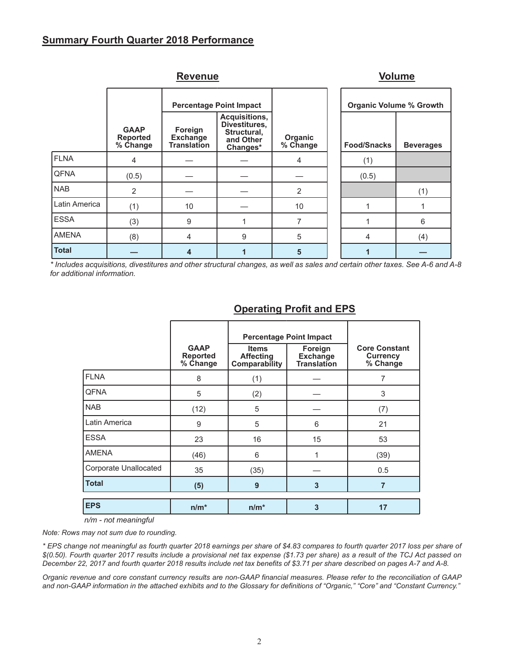### **Summary Fourth Quarter 2018 Performance**

|               |                                            | <b>Revenue</b>                                   |                                                                        |                     |  | <b>Volume</b>                  |                  |  |  |     |
|---------------|--------------------------------------------|--------------------------------------------------|------------------------------------------------------------------------|---------------------|--|--------------------------------|------------------|--|--|-----|
|               |                                            |                                                  | <b>Percentage Point Impact</b>                                         |                     |  | <b>Organic Volume % Growth</b> |                  |  |  |     |
|               | <b>GAAP</b><br><b>Reported</b><br>% Change | Foreign<br><b>Exchange</b><br><b>Translation</b> | Acquisitions,<br>Divestitures,<br>Structural,<br>and Other<br>Changes* | Organic<br>% Change |  | <b>Food/Snacks</b>             | <b>Beverages</b> |  |  |     |
| <b>FLNA</b>   | 4                                          |                                                  |                                                                        | 4                   |  | (1)                            |                  |  |  |     |
| <b>QFNA</b>   | (0.5)                                      |                                                  |                                                                        |                     |  | (0.5)                          |                  |  |  |     |
| <b>NAB</b>    | 2                                          |                                                  |                                                                        | 2                   |  |                                |                  |  |  | (1) |
| Latin America | (1)                                        | 10                                               |                                                                        | 10                  |  |                                |                  |  |  |     |
| <b>ESSA</b>   | (3)                                        | 9                                                |                                                                        | 7                   |  |                                | 6                |  |  |     |
| <b>AMENA</b>  | (8)                                        | $\overline{4}$                                   | 9                                                                      | 5                   |  | 4                              | (4)              |  |  |     |
| <b>Total</b>  |                                            | 4                                                |                                                                        | 5                   |  |                                |                  |  |  |     |

*\* Includes acquisitions, divestitures and other structural changes, as well as sales and certain other taxes. See A-6 and A-8 for additional information.*

|                              | <b>GAAP</b><br><b>Reported</b><br>% Change | <b>Items</b><br><b>Affecting</b><br>Comparability | <b>Percentage Point Impact</b><br>Foreign<br><b>Exchange</b><br><b>Translation</b> | <b>Core Constant</b><br><b>Currency</b><br>% Change |
|------------------------------|--------------------------------------------|---------------------------------------------------|------------------------------------------------------------------------------------|-----------------------------------------------------|
| <b>FLNA</b>                  | 8                                          | (1)                                               |                                                                                    | 7                                                   |
| <b>QFNA</b>                  | 5                                          | (2)                                               |                                                                                    | 3                                                   |
| <b>NAB</b>                   | (12)                                       | 5                                                 |                                                                                    | (7)                                                 |
| Latin America                | 9                                          | 5                                                 | 6                                                                                  | 21                                                  |
| <b>ESSA</b>                  | 23                                         | 16                                                | 15                                                                                 | 53                                                  |
| <b>AMENA</b>                 | (46)                                       | 6                                                 | 1                                                                                  | (39)                                                |
| <b>Corporate Unallocated</b> | 35                                         | (35)                                              |                                                                                    | 0.5                                                 |
| <b>Total</b>                 | (5)                                        | 9                                                 | 3                                                                                  | $\overline{7}$                                      |
| <b>EPS</b>                   | $n/m^*$                                    | $n/m^*$                                           | 3                                                                                  | 17                                                  |

## **Operating Profit and EPS**

*n/m - not meaningful*

*Note: Rows may not sum due to rounding.*

*\* EPS change not meaningful as fourth quarter 2018 earnings per share of \$4.83 compares to fourth quarter 2017 loss per share of \$(0.50). Fourth quarter 2017 results include a provisional net tax expense (\$1.73 per share) as a result of the TCJ Act passed on December 22, 2017 and fourth quarter 2018 results include net tax benefits of \$3.71 per share described on pages A-7 and A-8.*

*Organic revenue and core constant currency results are non-GAAP financial measures. Please refer to the reconciliation of GAAP and non-GAAP information in the attached exhibits and to the Glossary for definitions of "Organic," "Core" and "Constant Currency."*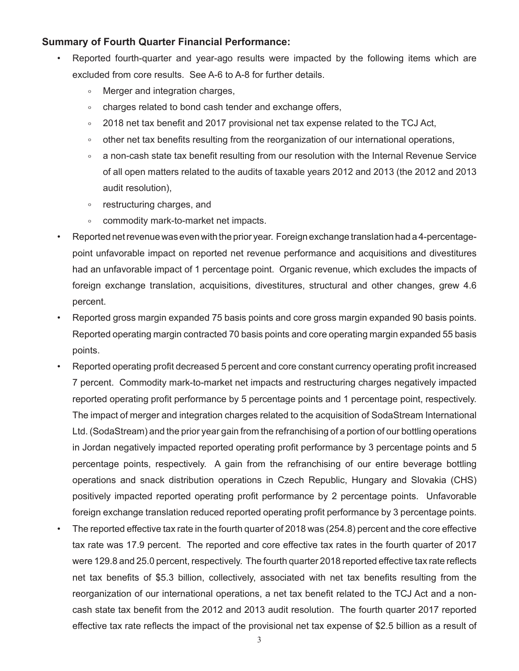### **Summary of Fourth Quarter Financial Performance:**

- Reported fourth-quarter and year-ago results were impacted by the following items which are excluded from core results. See A-6 to A-8 for further details.
	- Merger and integration charges,
	- charges related to bond cash tender and exchange offers,
	- $\degree$  2018 net tax benefit and 2017 provisional net tax expense related to the TCJ Act,
	- other net tax benefits resulting from the reorganization of our international operations,
	- a non-cash state tax benefit resulting from our resolution with the Internal Revenue Service of all open matters related to the audits of taxable years 2012 and 2013 (the 2012 and 2013 audit resolution),
	- restructuring charges, and
	- commodity mark-to-market net impacts.
- Reported net revenue was even with the prior year. Foreign exchange translation had a 4-percentagepoint unfavorable impact on reported net revenue performance and acquisitions and divestitures had an unfavorable impact of 1 percentage point. Organic revenue, which excludes the impacts of foreign exchange translation, acquisitions, divestitures, structural and other changes, grew 4.6 percent.
- Reported gross margin expanded 75 basis points and core gross margin expanded 90 basis points. Reported operating margin contracted 70 basis points and core operating margin expanded 55 basis points.
- Reported operating profit decreased 5 percent and core constant currency operating profit increased 7 percent. Commodity mark-to-market net impacts and restructuring charges negatively impacted reported operating profit performance by 5 percentage points and 1 percentage point, respectively. The impact of merger and integration charges related to the acquisition of SodaStream International Ltd. (SodaStream) and the prior year gain from the refranchising of a portion of our bottling operations in Jordan negatively impacted reported operating profit performance by 3 percentage points and 5 percentage points, respectively. A gain from the refranchising of our entire beverage bottling operations and snack distribution operations in Czech Republic, Hungary and Slovakia (CHS) positively impacted reported operating profit performance by 2 percentage points. Unfavorable foreign exchange translation reduced reported operating profit performance by 3 percentage points.
- The reported effective tax rate in the fourth quarter of 2018 was (254.8) percent and the core effective tax rate was 17.9 percent. The reported and core effective tax rates in the fourth quarter of 2017 were 129.8 and 25.0 percent, respectively. The fourth quarter 2018 reported effective tax rate reflects net tax benefits of \$5.3 billion, collectively, associated with net tax benefits resulting from the reorganization of our international operations, a net tax benefit related to the TCJ Act and a noncash state tax benefit from the 2012 and 2013 audit resolution. The fourth quarter 2017 reported effective tax rate reflects the impact of the provisional net tax expense of \$2.5 billion as a result of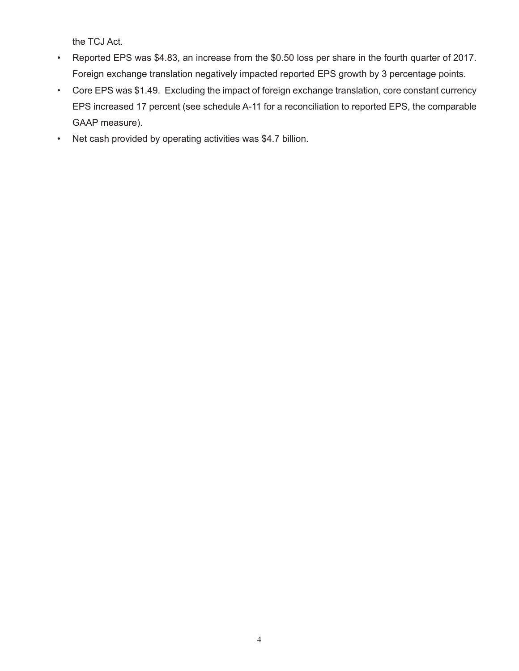the TCJ Act.

- Reported EPS was \$4.83, an increase from the \$0.50 loss per share in the fourth quarter of 2017. Foreign exchange translation negatively impacted reported EPS growth by 3 percentage points.
- Core EPS was \$1.49. Excluding the impact of foreign exchange translation, core constant currency EPS increased 17 percent (see schedule A-11 for a reconciliation to reported EPS, the comparable GAAP measure).
- Net cash provided by operating activities was \$4.7 billion.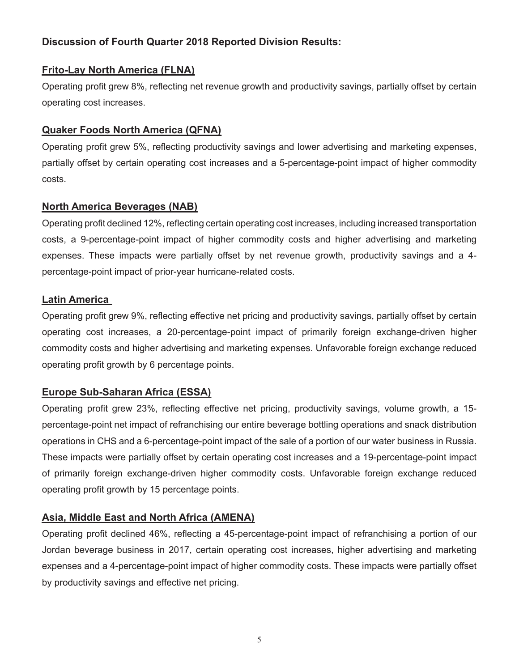# **Discussion of Fourth Quarter 2018 Reported Division Results:**

# **Frito-Lay North America (FLNA)**

Operating profit grew 8%, reflecting net revenue growth and productivity savings, partially offset by certain operating cost increases.

# **Quaker Foods North America (QFNA)**

Operating profit grew 5%, reflecting productivity savings and lower advertising and marketing expenses, partially offset by certain operating cost increases and a 5-percentage-point impact of higher commodity costs.

# **North America Beverages (NAB)**

Operating profit declined 12%, reflecting certain operating cost increases, including increased transportation costs, a 9-percentage-point impact of higher commodity costs and higher advertising and marketing expenses. These impacts were partially offset by net revenue growth, productivity savings and a 4 percentage-point impact of prior-year hurricane-related costs.

# **Latin America**

Operating profit grew 9%, reflecting effective net pricing and productivity savings, partially offset by certain operating cost increases, a 20-percentage-point impact of primarily foreign exchange-driven higher commodity costs and higher advertising and marketing expenses. Unfavorable foreign exchange reduced operating profit growth by 6 percentage points.

# **Europe Sub-Saharan Africa (ESSA)**

Operating profit grew 23%, reflecting effective net pricing, productivity savings, volume growth, a 15 percentage-point net impact of refranchising our entire beverage bottling operations and snack distribution operations in CHS and a 6-percentage-point impact of the sale of a portion of our water business in Russia. These impacts were partially offset by certain operating cost increases and a 19-percentage-point impact of primarily foreign exchange-driven higher commodity costs. Unfavorable foreign exchange reduced operating profit growth by 15 percentage points.

# **Asia, Middle East and North Africa (AMENA)**

Operating profit declined 46%, reflecting a 45-percentage-point impact of refranchising a portion of our Jordan beverage business in 2017, certain operating cost increases, higher advertising and marketing expenses and a 4-percentage-point impact of higher commodity costs. These impacts were partially offset by productivity savings and effective net pricing.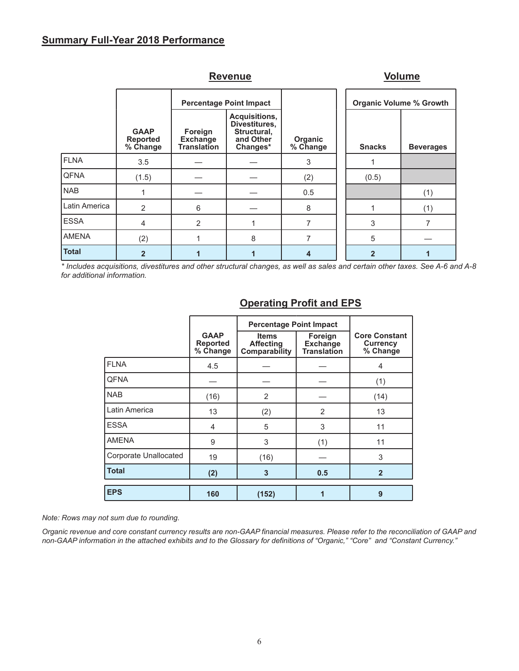## **Summary Full-Year 2018 Performance**

|               |                                            |                                                  | Revenue                                                                |                     |  |                                | <b>Volume</b>    |
|---------------|--------------------------------------------|--------------------------------------------------|------------------------------------------------------------------------|---------------------|--|--------------------------------|------------------|
|               |                                            |                                                  | <b>Percentage Point Impact</b>                                         |                     |  | <b>Organic Volume % Growth</b> |                  |
|               | <b>GAAP</b><br><b>Reported</b><br>% Change | Foreign<br><b>Exchange</b><br><b>Translation</b> | Acquisitions,<br>Divestitures,<br>Structural,<br>and Other<br>Changes* | Organic<br>% Change |  | <b>Snacks</b>                  | <b>Beverages</b> |
| <b>FLNA</b>   | 3.5                                        |                                                  |                                                                        | 3                   |  |                                |                  |
| <b>QFNA</b>   | (1.5)                                      |                                                  |                                                                        | (2)                 |  | (0.5)                          |                  |
| <b>NAB</b>    |                                            |                                                  |                                                                        | 0.5                 |  |                                | (1)              |
| Latin America | 2                                          | 6                                                |                                                                        | 8                   |  |                                | (1)              |
| <b>ESSA</b>   | $\overline{4}$                             | $\overline{2}$                                   | 1                                                                      | 7                   |  | 3                              | 7                |
| <b>AMENA</b>  | (2)                                        |                                                  | 8                                                                      | 7                   |  | 5                              |                  |
| <b>Total</b>  | $\overline{2}$                             |                                                  |                                                                        | 4                   |  | $\overline{2}$                 |                  |

*\* Includes acquisitions, divestitures and other structural changes, as well as sales and certain other taxes. See A-6 and A-8 for additional information.*

|                       |                                            | <b>Percentage Point Impact</b>                    |                                                  |                                                     |
|-----------------------|--------------------------------------------|---------------------------------------------------|--------------------------------------------------|-----------------------------------------------------|
|                       | <b>GAAP</b><br><b>Reported</b><br>% Change | <b>Items</b><br><b>Affecting</b><br>Comparability | Foreign<br><b>Exchange</b><br><b>Translation</b> | <b>Core Constant</b><br><b>Currency</b><br>% Change |
| <b>FLNA</b>           | 4.5                                        |                                                   |                                                  | 4                                                   |
| <b>QFNA</b>           |                                            |                                                   |                                                  | (1)                                                 |
| <b>NAB</b>            | (16)                                       | 2                                                 |                                                  | (14)                                                |
| Latin America         | 13                                         | (2)                                               | 2                                                | 13                                                  |
| <b>ESSA</b>           | 4                                          | 5                                                 | 3                                                | 11                                                  |
| <b>AMENA</b>          | 9                                          | 3                                                 | (1)                                              | 11                                                  |
| Corporate Unallocated | 19                                         | (16)                                              |                                                  | 3                                                   |
| <b>Total</b>          | (2)                                        | 3                                                 | 0.5                                              | $\overline{2}$                                      |
| <b>EPS</b>            | 160                                        | (152)                                             |                                                  | 9                                                   |

## **Operating Profit and EPS**

*Note: Rows may not sum due to rounding.*

*Organic revenue and core constant currency results are non-GAAP financial measures. Please refer to the reconciliation of GAAP and non-GAAP information in the attached exhibits and to the Glossary for definitions of "Organic," "Core" and "Constant Currency."* 

#### 6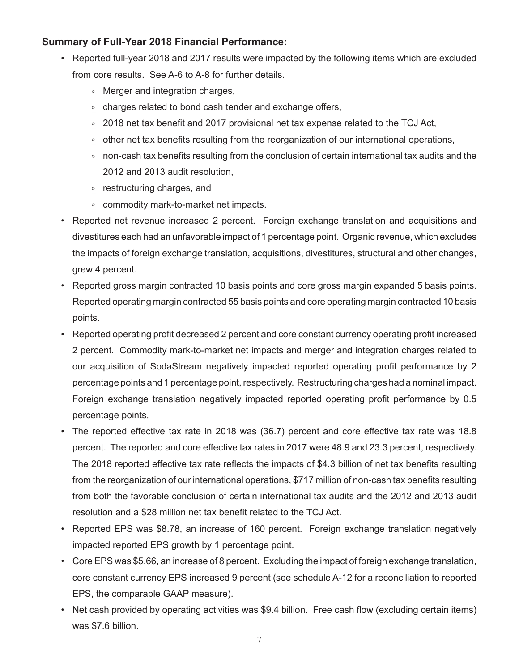# **Summary of Full-Year 2018 Financial Performance:**

- Reported full-year 2018 and 2017 results were impacted by the following items which are excluded from core results. See A-6 to A-8 for further details.
	- Merger and integration charges,
	- charges related to bond cash tender and exchange offers,
	- 2018 net tax benefit and 2017 provisional net tax expense related to the TCJ Act,
	- other net tax benefits resulting from the reorganization of our international operations,
	- non-cash tax benefits resulting from the conclusion of certain international tax audits and the 2012 and 2013 audit resolution,
	- restructuring charges, and
	- commodity mark-to-market net impacts.
- Reported net revenue increased 2 percent. Foreign exchange translation and acquisitions and divestitures each had an unfavorable impact of 1 percentage point. Organic revenue, which excludes the impacts of foreign exchange translation, acquisitions, divestitures, structural and other changes, grew 4 percent.
- Reported gross margin contracted 10 basis points and core gross margin expanded 5 basis points. Reported operating margin contracted 55 basis points and core operating margin contracted 10 basis points.
- Reported operating profit decreased 2 percent and core constant currency operating profit increased 2 percent. Commodity mark-to-market net impacts and merger and integration charges related to our acquisition of SodaStream negatively impacted reported operating profit performance by 2 percentage points and 1 percentage point, respectively. Restructuring charges had a nominal impact. Foreign exchange translation negatively impacted reported operating profit performance by 0.5 percentage points.
- The reported effective tax rate in 2018 was (36.7) percent and core effective tax rate was 18.8 percent. The reported and core effective tax rates in 2017 were 48.9 and 23.3 percent, respectively. The 2018 reported effective tax rate reflects the impacts of \$4.3 billion of net tax benefits resulting from the reorganization of our international operations, \$717 million of non-cash tax benefits resulting from both the favorable conclusion of certain international tax audits and the 2012 and 2013 audit resolution and a \$28 million net tax benefit related to the TCJ Act.
- Reported EPS was \$8.78, an increase of 160 percent. Foreign exchange translation negatively impacted reported EPS growth by 1 percentage point.
- Core EPS was \$5.66, an increase of 8 percent. Excluding the impact of foreign exchange translation, core constant currency EPS increased 9 percent (see schedule A-12 for a reconciliation to reported EPS, the comparable GAAP measure).
- Net cash provided by operating activities was \$9.4 billion. Free cash flow (excluding certain items) was \$7.6 billion.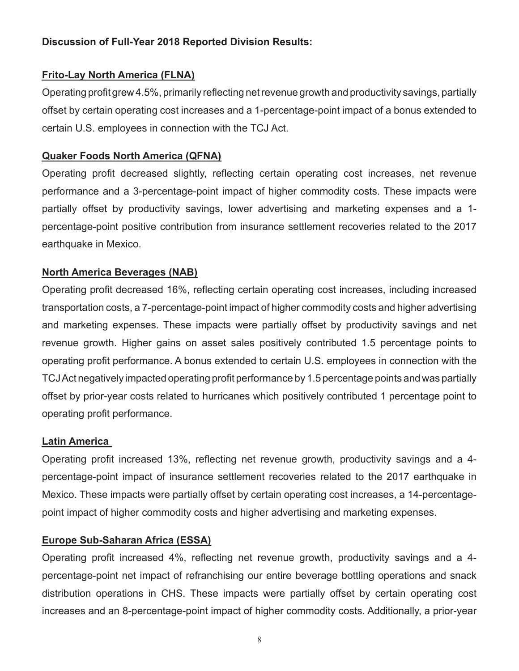# **Discussion of Full-Year 2018 Reported Division Results:**

# **Frito-Lay North America (FLNA)**

Operating profit grew 4.5%, primarily reflecting net revenue growth and productivity savings, partially offset by certain operating cost increases and a 1-percentage-point impact of a bonus extended to certain U.S. employees in connection with the TCJ Act.

# **Quaker Foods North America (QFNA)**

Operating profit decreased slightly, reflecting certain operating cost increases, net revenue performance and a 3-percentage-point impact of higher commodity costs. These impacts were partially offset by productivity savings, lower advertising and marketing expenses and a 1 percentage-point positive contribution from insurance settlement recoveries related to the 2017 earthquake in Mexico.

# **North America Beverages (NAB)**

Operating profit decreased 16%, reflecting certain operating cost increases, including increased transportation costs, a 7-percentage-point impact of higher commodity costs and higher advertising and marketing expenses. These impacts were partially offset by productivity savings and net revenue growth. Higher gains on asset sales positively contributed 1.5 percentage points to operating profit performance. A bonus extended to certain U.S. employees in connection with the TCJ Act negatively impacted operating profit performance by 1.5 percentage points and was partially offset by prior-year costs related to hurricanes which positively contributed 1 percentage point to operating profit performance.

# **Latin America**

Operating profit increased 13%, reflecting net revenue growth, productivity savings and a 4 percentage-point impact of insurance settlement recoveries related to the 2017 earthquake in Mexico. These impacts were partially offset by certain operating cost increases, a 14-percentagepoint impact of higher commodity costs and higher advertising and marketing expenses.

# **Europe Sub-Saharan Africa (ESSA)**

Operating profit increased 4%, reflecting net revenue growth, productivity savings and a 4 percentage-point net impact of refranchising our entire beverage bottling operations and snack distribution operations in CHS. These impacts were partially offset by certain operating cost increases and an 8-percentage-point impact of higher commodity costs. Additionally, a prior-year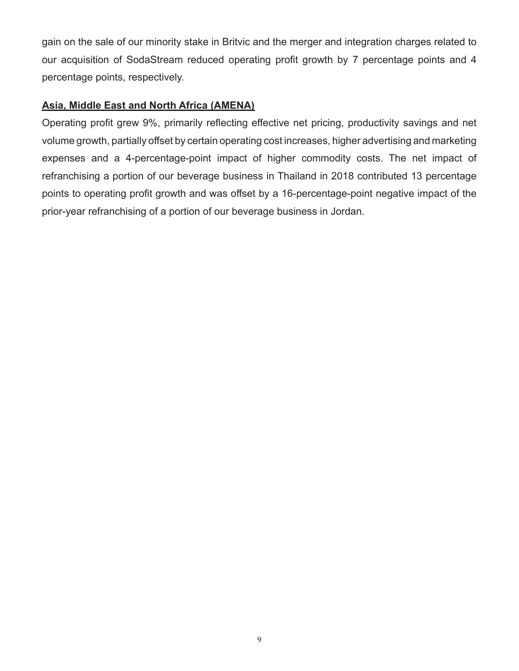gain on the sale of our minority stake in Britvic and the merger and integration charges related to our acquisition of SodaStream reduced operating profit growth by 7 percentage points and 4 percentage points, respectively.

# **Asia, Middle East and North Africa (AMENA)**

Operating profit grew 9%, primarily reflecting effective net pricing, productivity savings and net volume growth, partially offset by certain operating cost increases, higher advertising and marketing expenses and a 4-percentage-point impact of higher commodity costs. The net impact of refranchising a portion of our beverage business in Thailand in 2018 contributed 13 percentage points to operating profit growth and was offset by a 16-percentage-point negative impact of the prior-year refranchising of a portion of our beverage business in Jordan.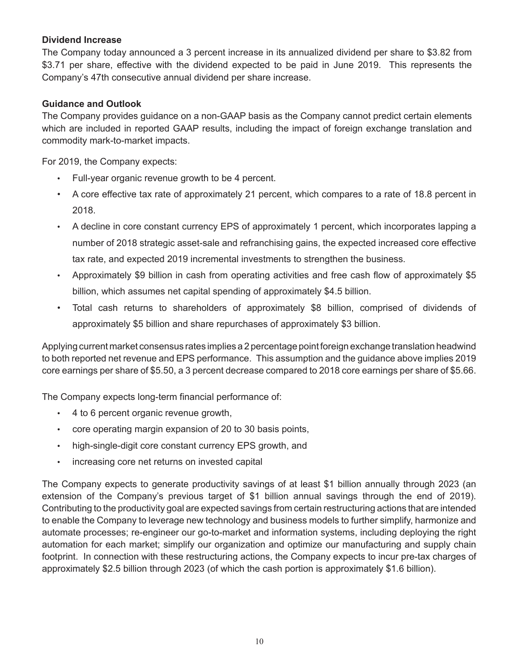### **Dividend Increase**

The Company today announced a 3 percent increase in its annualized dividend per share to \$3.82 from \$3.71 per share, effective with the dividend expected to be paid in June 2019. This represents the Company's 47th consecutive annual dividend per share increase.

### **Guidance and Outlook**

The Company provides guidance on a non-GAAP basis as the Company cannot predict certain elements which are included in reported GAAP results, including the impact of foreign exchange translation and commodity mark-to-market impacts.

For 2019, the Company expects:

- Full-year organic revenue growth to be 4 percent.
- A core effective tax rate of approximately 21 percent, which compares to a rate of 18.8 percent in 2018.
- A decline in core constant currency EPS of approximately 1 percent, which incorporates lapping a number of 2018 strategic asset-sale and refranchising gains, the expected increased core effective tax rate, and expected 2019 incremental investments to strengthen the business.
- Approximately \$9 billion in cash from operating activities and free cash flow of approximately \$5 billion, which assumes net capital spending of approximately \$4.5 billion.
- Total cash returns to shareholders of approximately \$8 billion, comprised of dividends of approximately \$5 billion and share repurchases of approximately \$3 billion.

Applying current market consensus rates implies a 2 percentage point foreign exchange translation headwind to both reported net revenue and EPS performance. This assumption and the guidance above implies 2019 core earnings per share of \$5.50, a 3 percent decrease compared to 2018 core earnings per share of \$5.66.

The Company expects long-term financial performance of:

- 4 to 6 percent organic revenue growth,
- core operating margin expansion of 20 to 30 basis points,
- high-single-digit core constant currency EPS growth, and
- increasing core net returns on invested capital

The Company expects to generate productivity savings of at least \$1 billion annually through 2023 (an extension of the Company's previous target of \$1 billion annual savings through the end of 2019). Contributing to the productivity goal are expected savings from certain restructuring actions that are intended to enable the Company to leverage new technology and business models to further simplify, harmonize and automate processes; re-engineer our go-to-market and information systems, including deploying the right automation for each market; simplify our organization and optimize our manufacturing and supply chain footprint. In connection with these restructuring actions, the Company expects to incur pre-tax charges of approximately \$2.5 billion through 2023 (of which the cash portion is approximately \$1.6 billion).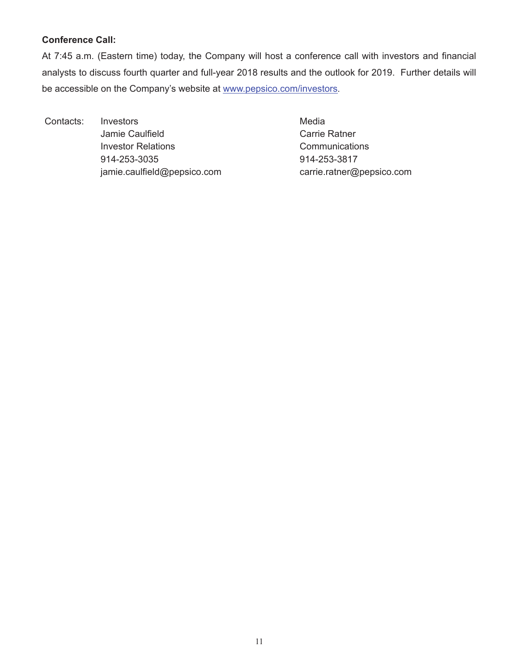### **Conference Call:**

At 7:45 a.m. (Eastern time) today, the Company will host a conference call with investors and financial analysts to discuss fourth quarter and full-year 2018 results and the outlook for 2019. Further details will be accessible on the Company's website at www.pepsico.com/investors.

Contacts: Investors **Media** Jamie Caulfield **Carrie Ratner** Carrie Ratner Investor Relations **Communications** 914-253-3035 914-253-3817 jamie.caulfield@pepsico.com carrie.ratner@pepsico.com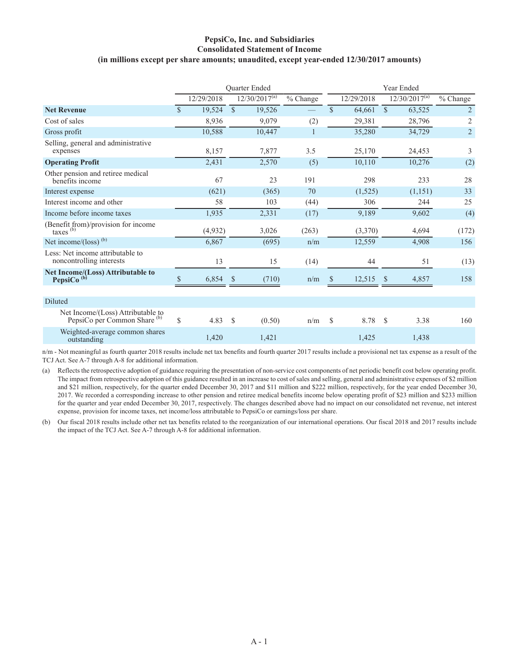### **PepsiCo, Inc. and Subsidiaries Consolidated Statement of Income (in millions except per share amounts; unaudited, except year-ended 12/30/2017 amounts)**

|                                                                              |                    |            |               | Quarter Ended      |          |              | Year Ended |               |                    |                      |
|------------------------------------------------------------------------------|--------------------|------------|---------------|--------------------|----------|--------------|------------|---------------|--------------------|----------------------|
|                                                                              |                    | 12/29/2018 |               | $12/30/2017^{(a)}$ | % Change |              | 12/29/2018 |               | $12/30/2017^{(a)}$ | $\frac{6}{6}$ Change |
| <b>Net Revenue</b>                                                           | $\mathbf{\hat{s}}$ | 19,524     | $\mathbb{S}$  | 19,526             |          | \$           | 64,661     | $\mathbb{S}$  | 63,525             | $\overline{2}$       |
| Cost of sales                                                                |                    | 8,936      |               | 9,079              | (2)      |              | 29,381     |               | 28,796             | $\overline{2}$       |
| Gross profit                                                                 |                    | 10,588     |               | 10,447             | 1        |              | 35,280     |               | 34,729             | $\overline{c}$       |
| Selling, general and administrative<br>expenses                              |                    | 8,157      |               | 7,877              | 3.5      |              | 25,170     |               | 24,453             | 3                    |
| <b>Operating Profit</b>                                                      |                    | 2,431      |               | 2,570              | (5)      |              | 10,110     |               | 10,276             | (2)                  |
| Other pension and retiree medical<br>benefits income                         |                    | 67         |               | 23                 | 191      |              | 298        |               | 233                | 28                   |
| Interest expense                                                             |                    | (621)      |               | (365)              | 70       |              | (1,525)    |               | (1,151)            | 33                   |
| Interest income and other                                                    |                    | 58         |               | 103                | (44)     |              | 306        |               | 244                | 25                   |
| Income before income taxes                                                   |                    | 1,935      |               | 2,331              | (17)     |              | 9,189      |               | 9,602              | (4)                  |
| (Benefit from)/provision for income<br>taxes (b)                             |                    | (4,932)    |               | 3,026              | (263)    |              | (3,370)    |               | 4,694              | (172)                |
| Net income/ $\left(\text{loss}\right)^{(b)}$                                 |                    | 6,867      |               | (695)              | n/m      |              | 12,559     |               | 4,908              | 156                  |
| Less: Net income attributable to<br>noncontrolling interests                 |                    | 13         |               | 15                 | (14)     |              | 44         |               | 51                 | (13)                 |
| Net Income/(Loss) Attributable to<br>PepsiCo <sup>(b)</sup>                  | \$                 | 6,854      | S             | (710)              | n/m      | <sup>S</sup> | 12,515     | <sup>\$</sup> | 4,857              | 158                  |
|                                                                              |                    |            |               |                    |          |              |            |               |                    |                      |
| Diluted                                                                      |                    |            |               |                    |          |              |            |               |                    |                      |
| Net Income/(Loss) Attributable to<br>PepsiCo per Common Share <sup>(b)</sup> | \$                 | 4.83       | <sup>\$</sup> | (0.50)             | n/m      | \$           | 8.78       | <sup>S</sup>  | 3.38               | 160                  |
| Weighted-average common shares<br>outstanding                                |                    | 1,420      |               | 1,421              |          |              | 1,425      |               | 1,438              |                      |

n/m - Not meaningful as fourth quarter 2018 results include net tax benefits and fourth quarter 2017 results include a provisional net tax expense as a result of the TCJ Act. See A-7 through A-8 for additional information.

(a) Reflects the retrospective adoption of guidance requiring the presentation of non-service cost components of net periodic benefit cost below operating profit. The impact from retrospective adoption of this guidance resulted in an increase to cost of sales and selling, general and administrative expenses of \$2 million and \$21 million, respectively, for the quarter ended December 30, 2017 and \$11 million and \$222 million, respectively, for the year ended December 30, 2017. We recorded a corresponding increase to other pension and retiree medical benefits income below operating profit of \$23 million and \$233 million for the quarter and year ended December 30, 2017, respectively. The changes described above had no impact on our consolidated net revenue, net interest expense, provision for income taxes, net income/loss attributable to PepsiCo or earnings/loss per share.

(b) Our fiscal 2018 results include other net tax benefits related to the reorganization of our international operations. Our fiscal 2018 and 2017 results include the impact of the TCJ Act. See A-7 through A-8 for additional information.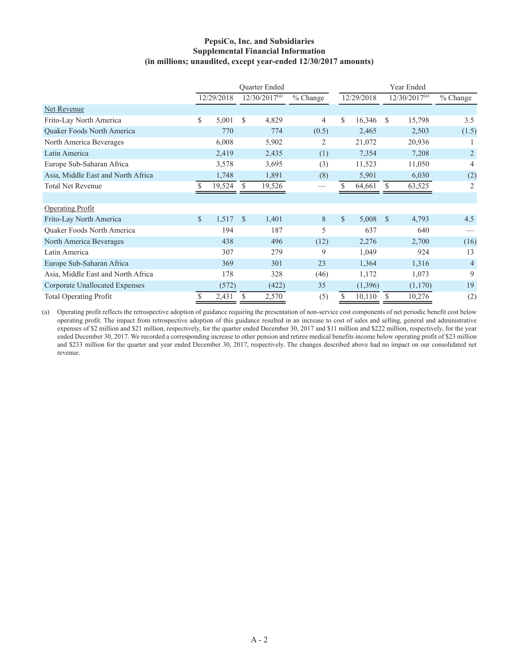### **PepsiCo, Inc. and Subsidiaries Supplemental Financial Information (in millions; unaudited, except year-ended 12/30/2017 amounts)**

|                                    |               |            |               | <b>Ouarter Ended</b> |                |               | Year Ended |               |                    |                |
|------------------------------------|---------------|------------|---------------|----------------------|----------------|---------------|------------|---------------|--------------------|----------------|
|                                    |               | 12/29/2018 |               | $12/30/2017^{(a)}$   | % Change       |               | 12/29/2018 |               | $12/30/2017^{(a)}$ | $%$ Change     |
| Net Revenue                        |               |            |               |                      |                |               |            |               |                    |                |
| Frito-Lay North America            | \$            | 5,001      | \$.           | 4,829                | 4              | \$            | 16,346     | \$.           | 15,798             | 3.5            |
| Quaker Foods North America         |               | 770        |               | 774                  | (0.5)          |               | 2,465      |               | 2,503              | (1.5)          |
| North America Beverages            |               | 6,008      |               | 5,902                | $\overline{2}$ |               | 21,072     |               | 20,936             |                |
| Latin America                      |               | 2,419      |               | 2,435                | (1)            |               | 7,354      |               | 7,208              | $\overline{2}$ |
| Europe Sub-Saharan Africa          |               | 3,578      |               | 3,695                | (3)            |               | 11,523     |               | 11,050             | 4              |
| Asia, Middle East and North Africa |               | 1,748      |               | 1,891                | (8)            |               | 5,901      |               | 6,030              | (2)            |
| <b>Total Net Revenue</b>           |               | 19,524     | S             | 19,526               |                |               | 64,661     | \$            | 63,525             | $\overline{2}$ |
|                                    |               |            |               |                      |                |               |            |               |                    |                |
| <b>Operating Profit</b>            |               |            |               |                      |                |               |            |               |                    |                |
| Frito-Lay North America            | $\mathbb{S}$  | 1,517      | $\mathcal{S}$ | 1,401                | 8              | $\mathcal{S}$ | 5,008      | $\mathcal{S}$ | 4,793              | 4.5            |
| Quaker Foods North America         |               | 194        |               | 187                  | 5              |               | 637        |               | 640                |                |
| North America Beverages            |               | 438        |               | 496                  | (12)           |               | 2,276      |               | 2,700              | (16)           |
| Latin America                      |               | 307        |               | 279                  | 9              |               | 1,049      |               | 924                | 13             |
| Europe Sub-Saharan Africa          |               | 369        |               | 301                  | 23             |               | 1,364      |               | 1,316              | $\overline{4}$ |
| Asia, Middle East and North Africa |               | 178        |               | 328                  | (46)           |               | 1,172      |               | 1,073              | 9              |
| Corporate Unallocated Expenses     |               | (572)      |               | (422)                | 35             |               | (1,396)    |               | (1,170)            | 19             |
| <b>Total Operating Profit</b>      | $\mathcal{S}$ | 2,431      | S             | 2,570                | (5)            | \$            | 10,110     | $\mathcal{S}$ | 10,276             | (2)            |

(a) Operating profit reflects the retrospective adoption of guidance requiring the presentation of non-service cost components of net periodic benefit cost below operating profit. The impact from retrospective adoption of this guidance resulted in an increase to cost of sales and selling, general and administrative expenses of \$2 million and \$21 million, respectively, for the quarter ended December 30, 2017 and \$11 million and \$222 million, respectively, for the year ended December 30, 2017. We recorded a corresponding increase to other pension and retiree medical benefits income below operating profit of \$23 million and \$233 million for the quarter and year ended December 30, 2017, respectively. The changes described above had no impact on our consolidated net revenue.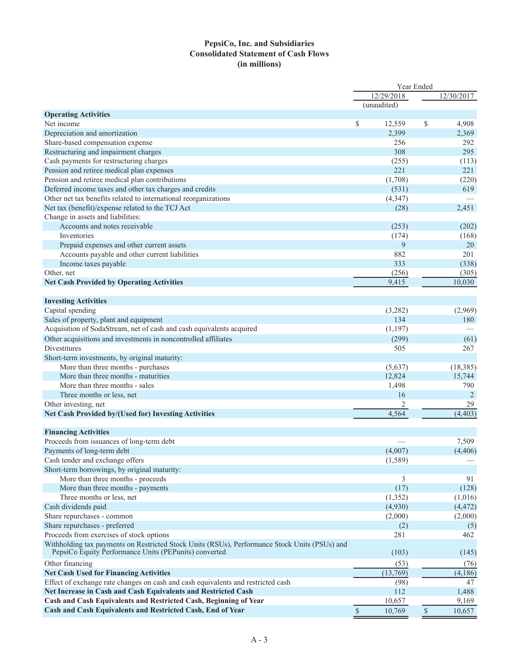### **PepsiCo, Inc. and Subsidiaries Consolidated Statement of Cash Flows (in millions)**

|                                                                                                                                                        |      | Year Ended  |              |            |  |  |
|--------------------------------------------------------------------------------------------------------------------------------------------------------|------|-------------|--------------|------------|--|--|
|                                                                                                                                                        |      | 12/29/2018  |              | 12/30/2017 |  |  |
|                                                                                                                                                        |      | (unaudited) |              |            |  |  |
| <b>Operating Activities</b>                                                                                                                            |      |             |              |            |  |  |
| Net income                                                                                                                                             | \$   | 12,559      | \$           | 4,908      |  |  |
| Depreciation and amortization                                                                                                                          |      | 2,399       |              | 2,369      |  |  |
| Share-based compensation expense                                                                                                                       |      | 256         |              | 292        |  |  |
| Restructuring and impairment charges                                                                                                                   |      | 308         |              | 295        |  |  |
| Cash payments for restructuring charges                                                                                                                |      | (255)       |              | (113)      |  |  |
| Pension and retiree medical plan expenses                                                                                                              |      | 221         |              | 221        |  |  |
| Pension and retiree medical plan contributions                                                                                                         |      | (1,708)     |              | (220)      |  |  |
| Deferred income taxes and other tax charges and credits                                                                                                |      | (531)       |              | 619        |  |  |
| Other net tax benefits related to international reorganizations                                                                                        |      | (4, 347)    |              |            |  |  |
| Net tax (benefit)/expense related to the TCJ Act                                                                                                       |      | (28)        |              | 2,451      |  |  |
| Change in assets and liabilities:                                                                                                                      |      |             |              |            |  |  |
| Accounts and notes receivable                                                                                                                          |      | (253)       |              | (202)      |  |  |
| Inventories                                                                                                                                            |      | (174)       |              | (168)      |  |  |
| Prepaid expenses and other current assets                                                                                                              |      | 9           |              | 20         |  |  |
| Accounts payable and other current liabilities                                                                                                         |      | 882         |              | 201        |  |  |
| Income taxes payable                                                                                                                                   |      | 333         |              | (338)      |  |  |
| Other, net                                                                                                                                             |      | (256)       |              | (305)      |  |  |
| <b>Net Cash Provided by Operating Activities</b>                                                                                                       |      | 9,415       |              | 10,030     |  |  |
|                                                                                                                                                        |      |             |              |            |  |  |
| <b>Investing Activities</b>                                                                                                                            |      |             |              |            |  |  |
| Capital spending                                                                                                                                       |      | (3,282)     |              | (2,969)    |  |  |
| Sales of property, plant and equipment                                                                                                                 |      | 134         |              | 180        |  |  |
| Acquisition of SodaStream, net of cash and cash equivalents acquired                                                                                   |      | (1, 197)    |              |            |  |  |
| Other acquisitions and investments in noncontrolled affiliates                                                                                         |      | (299)       |              | (61)       |  |  |
| Divestitures                                                                                                                                           |      | 505         |              | 267        |  |  |
| Short-term investments, by original maturity:                                                                                                          |      |             |              |            |  |  |
| More than three months - purchases                                                                                                                     |      | (5,637)     |              | (18, 385)  |  |  |
| More than three months - maturities                                                                                                                    |      | 12,824      |              | 15,744     |  |  |
| More than three months - sales                                                                                                                         |      | 1,498       |              | 790        |  |  |
| Three months or less, net                                                                                                                              |      | 16          |              | 2          |  |  |
| Other investing, net                                                                                                                                   |      | 2           |              | 29         |  |  |
| Net Cash Provided by/(Used for) Investing Activities                                                                                                   |      | 4,564       |              | (4, 403)   |  |  |
|                                                                                                                                                        |      |             |              |            |  |  |
| <b>Financing Activities</b>                                                                                                                            |      |             |              |            |  |  |
| Proceeds from issuances of long-term debt                                                                                                              |      |             |              | 7,509      |  |  |
| Payments of long-term debt                                                                                                                             |      | (4,007)     |              | (4, 406)   |  |  |
| Cash tender and exchange offers                                                                                                                        |      | (1, 589)    |              |            |  |  |
| Short-term borrowings, by original maturity:                                                                                                           |      |             |              |            |  |  |
| More than three months - proceeds                                                                                                                      |      | 3           |              | 91         |  |  |
| More than three months - payments                                                                                                                      |      | (17)        |              | (128)      |  |  |
| Three months or less, net                                                                                                                              |      | (1, 352)    |              | (1,016)    |  |  |
| Cash dividends paid                                                                                                                                    |      | (4,930)     |              | (4, 472)   |  |  |
| Share repurchases - common                                                                                                                             |      | (2,000)     |              | (2,000)    |  |  |
| Share repurchases - preferred                                                                                                                          |      | (2)         |              | (5)        |  |  |
| Proceeds from exercises of stock options                                                                                                               |      | 281         |              | 462        |  |  |
| Withholding tax payments on Restricted Stock Units (RSUs), Performance Stock Units (PSUs) and<br>PepsiCo Equity Performance Units (PEPunits) converted |      | (103)       |              | (145)      |  |  |
| Other financing                                                                                                                                        |      | (53)        |              | (76)       |  |  |
| <b>Net Cash Used for Financing Activities</b>                                                                                                          |      | (13,769)    |              | (4, 186)   |  |  |
| Effect of exchange rate changes on cash and cash equivalents and restricted cash                                                                       |      | (98)        |              | 47         |  |  |
| Net Increase in Cash and Cash Equivalents and Restricted Cash                                                                                          |      | 112         |              | 1,488      |  |  |
| Cash and Cash Equivalents and Restricted Cash, Beginning of Year                                                                                       |      | 10,657      |              | 9,169      |  |  |
| Cash and Cash Equivalents and Restricted Cash, End of Year                                                                                             | $\$$ | 10,769      | $\mathbb{S}$ | 10,657     |  |  |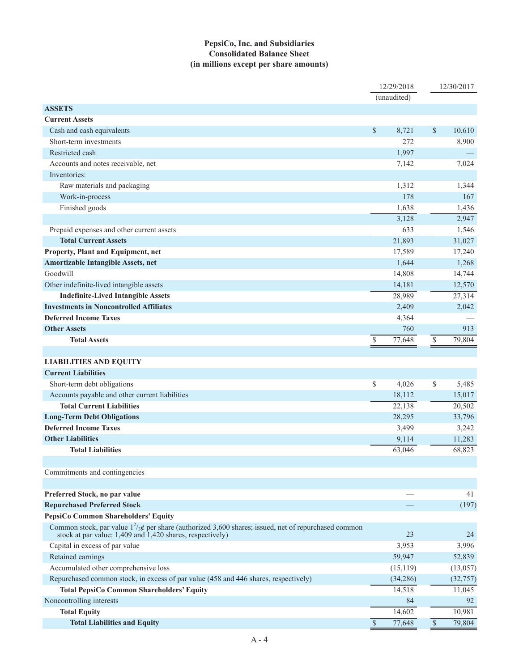### **PepsiCo, Inc. and Subsidiaries Consolidated Balance Sheet (in millions except per share amounts)**

|                                                                                                                                                                             |               | 12/29/2018  |               | 12/30/2017 |
|-----------------------------------------------------------------------------------------------------------------------------------------------------------------------------|---------------|-------------|---------------|------------|
|                                                                                                                                                                             |               | (unaudited) |               |            |
| <b>ASSETS</b>                                                                                                                                                               |               |             |               |            |
| <b>Current Assets</b>                                                                                                                                                       |               |             |               |            |
| Cash and cash equivalents                                                                                                                                                   | \$            | 8,721       | \$            | 10,610     |
| Short-term investments                                                                                                                                                      |               | 272         |               | 8,900      |
| Restricted cash                                                                                                                                                             |               | 1,997       |               |            |
| Accounts and notes receivable, net                                                                                                                                          |               | 7,142       |               | 7,024      |
| Inventories:                                                                                                                                                                |               |             |               |            |
| Raw materials and packaging                                                                                                                                                 |               | 1,312       |               | 1,344      |
| Work-in-process                                                                                                                                                             |               | 178         |               | 167        |
| Finished goods                                                                                                                                                              |               | 1,638       |               | 1,436      |
|                                                                                                                                                                             |               | 3,128       |               | 2,947      |
| Prepaid expenses and other current assets                                                                                                                                   |               | 633         |               | 1,546      |
| <b>Total Current Assets</b>                                                                                                                                                 |               | 21,893      |               | 31,027     |
| Property, Plant and Equipment, net                                                                                                                                          |               | 17,589      |               | 17,240     |
| <b>Amortizable Intangible Assets, net</b>                                                                                                                                   |               | 1,644       |               | 1,268      |
| Goodwill                                                                                                                                                                    |               | 14,808      |               | 14,744     |
| Other indefinite-lived intangible assets                                                                                                                                    |               | 14,181      |               | 12,570     |
| <b>Indefinite-Lived Intangible Assets</b>                                                                                                                                   |               | 28,989      |               | 27,314     |
| <b>Investments in Noncontrolled Affiliates</b>                                                                                                                              |               | 2,409       |               | 2,042      |
| <b>Deferred Income Taxes</b>                                                                                                                                                |               | 4,364       |               |            |
| <b>Other Assets</b>                                                                                                                                                         |               | 760         |               | 913        |
| <b>Total Assets</b>                                                                                                                                                         | \$            | 77,648      | $\$$          | 79,804     |
|                                                                                                                                                                             |               |             |               |            |
| <b>LIABILITIES AND EQUITY</b>                                                                                                                                               |               |             |               |            |
| <b>Current Liabilities</b>                                                                                                                                                  |               |             |               |            |
| Short-term debt obligations                                                                                                                                                 | \$            | 4,026       | \$            | 5,485      |
| Accounts payable and other current liabilities                                                                                                                              |               | 18,112      |               | 15,017     |
| <b>Total Current Liabilities</b>                                                                                                                                            |               | 22,138      |               | 20,502     |
| <b>Long-Term Debt Obligations</b>                                                                                                                                           |               | 28,295      |               | 33,796     |
| <b>Deferred Income Taxes</b>                                                                                                                                                |               | 3,499       |               | 3,242      |
| <b>Other Liabilities</b>                                                                                                                                                    |               | 9,114       |               | 11,283     |
| <b>Total Liabilities</b>                                                                                                                                                    |               | 63,046      |               | 68,823     |
|                                                                                                                                                                             |               |             |               |            |
| Commitments and contingencies                                                                                                                                               |               |             |               |            |
|                                                                                                                                                                             |               |             |               |            |
| Preferred Stock, no par value                                                                                                                                               |               |             |               | 41         |
| <b>Repurchased Preferred Stock</b>                                                                                                                                          |               |             |               | (197)      |
| PepsiCo Common Shareholders' Equity                                                                                                                                         |               |             |               |            |
| Common stock, par value $1^2/\cancel{x}$ per share (authorized 3,600 shares; issued, net of repurchased common<br>stock at par value: 1,409 and 1,420 shares, respectively) |               | 23          |               | 24         |
| Capital in excess of par value                                                                                                                                              |               | 3,953       |               | 3,996      |
| Retained earnings                                                                                                                                                           |               | 59,947      |               | 52,839     |
| Accumulated other comprehensive loss                                                                                                                                        |               | (15, 119)   |               | (13,057)   |
| Repurchased common stock, in excess of par value (458 and 446 shares, respectively)                                                                                         |               | (34, 286)   |               | (32, 757)  |
| <b>Total PepsiCo Common Shareholders' Equity</b>                                                                                                                            |               | 14,518      |               | 11,045     |
| Noncontrolling interests                                                                                                                                                    |               | 84          |               | 92         |
| <b>Total Equity</b>                                                                                                                                                         |               | 14,602      |               | 10,981     |
| <b>Total Liabilities and Equity</b>                                                                                                                                         | $\mathcal{S}$ | 77,648      | $\mathcal{S}$ | 79,804     |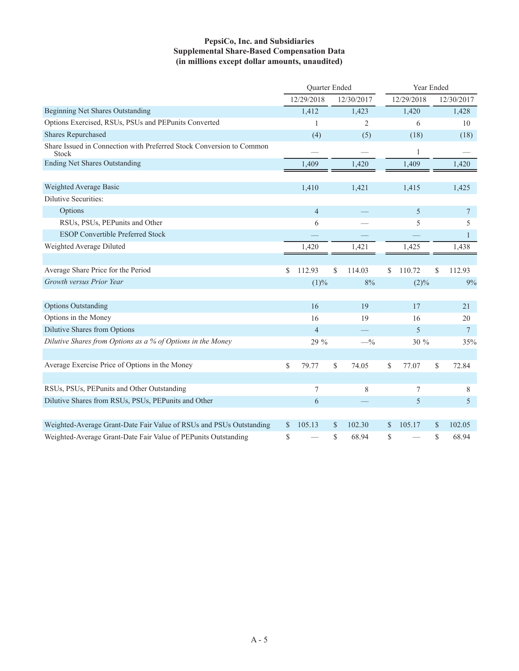### **PepsiCo, Inc. and Subsidiaries Supplemental Share-Based Compensation Data (in millions except dollar amounts, unaudited)**

|                                                                               | Quarter Ended  |                | Year Ended   |             |              |  |
|-------------------------------------------------------------------------------|----------------|----------------|--------------|-------------|--------------|--|
|                                                                               | 12/29/2018     | 12/30/2017     | 12/29/2018   |             | 12/30/2017   |  |
| <b>Beginning Net Shares Outstanding</b>                                       | 1,412          | 1,423          | 1,420        |             | 1,428        |  |
| Options Exercised, RSUs, PSUs and PEPunits Converted                          | 1              | $\overline{2}$ | 6            |             | 10           |  |
| <b>Shares Repurchased</b>                                                     | (4)            | (5)            | (18)         |             | (18)         |  |
| Share Issued in Connection with Preferred Stock Conversion to Common<br>Stock |                |                | 1            |             |              |  |
| <b>Ending Net Shares Outstanding</b>                                          | 1,409          | 1,420          | 1,409        |             | 1,420        |  |
|                                                                               |                |                |              |             |              |  |
| Weighted Average Basic                                                        | 1,410          | 1,421          | 1,415        |             | 1,425        |  |
| Dilutive Securities:                                                          |                |                |              |             |              |  |
| Options                                                                       | $\overline{4}$ |                | 5            |             | 7            |  |
| RSUs, PSUs, PEPunits and Other                                                | 6              |                | 5            |             | 5            |  |
| <b>ESOP Convertible Preferred Stock</b>                                       |                |                |              |             | $\mathbf{1}$ |  |
| Weighted Average Diluted                                                      | 1,420          | 1,421          | 1,425        |             | 1,438        |  |
|                                                                               |                |                |              |             |              |  |
| Average Share Price for the Period                                            | \$<br>112.93   | \$<br>114.03   | \$<br>110.72 | \$          | 112.93       |  |
| Growth versus Prior Year                                                      | (1)%           | 8%             | (2)%         |             | 9%           |  |
|                                                                               |                |                |              |             |              |  |
| <b>Options Outstanding</b>                                                    | 16             | 19             | 17           |             | 21           |  |
| Options in the Money                                                          | 16             | 19             | 16           |             | 20           |  |
| Dilutive Shares from Options                                                  | $\overline{4}$ |                | 5            |             | 7            |  |
| Dilutive Shares from Options as a % of Options in the Money                   | 29 %           | $-$ %          | 30 %         |             | 35%          |  |
|                                                                               |                |                |              |             |              |  |
| Average Exercise Price of Options in the Money                                | \$<br>79.77    | \$<br>74.05    | \$<br>77.07  | \$          | 72.84        |  |
|                                                                               |                |                |              |             |              |  |
| RSUs, PSUs, PEPunits and Other Outstanding                                    | 7              | $\,$ 8 $\,$    | 7            |             | 8            |  |
| Dilutive Shares from RSUs, PSUs, PEPunits and Other                           | 6              |                | 5            |             | 5            |  |
|                                                                               |                |                |              |             |              |  |
| Weighted-Average Grant-Date Fair Value of RSUs and PSUs Outstanding           | \$<br>105.13   | \$<br>102.30   | \$<br>105.17 | $\mathbf S$ | 102.05       |  |
| Weighted-Average Grant-Date Fair Value of PEPunits Outstanding                | \$             | \$<br>68.94    | \$           | \$          | 68.94        |  |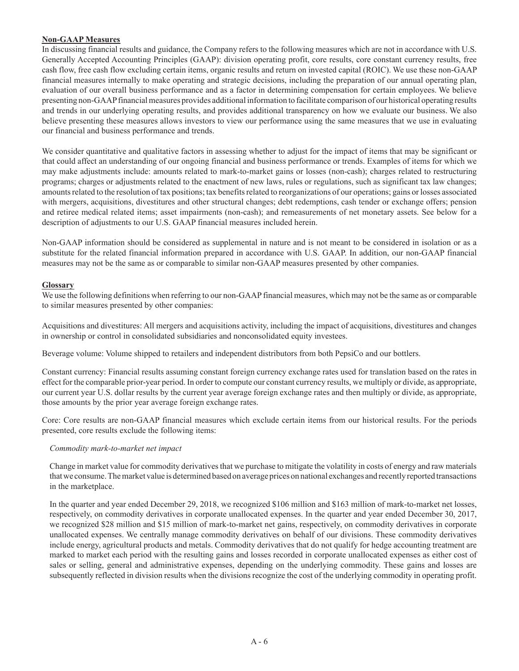### **Non-GAAP Measures**

In discussing financial results and guidance, the Company refers to the following measures which are not in accordance with U.S. Generally Accepted Accounting Principles (GAAP): division operating profit, core results, core constant currency results, free cash flow, free cash flow excluding certain items, organic results and return on invested capital (ROIC). We use these non-GAAP financial measures internally to make operating and strategic decisions, including the preparation of our annual operating plan, evaluation of our overall business performance and as a factor in determining compensation for certain employees. We believe presenting non-GAAP financial measures provides additional information to facilitate comparison of our historical operating results and trends in our underlying operating results, and provides additional transparency on how we evaluate our business. We also believe presenting these measures allows investors to view our performance using the same measures that we use in evaluating our financial and business performance and trends.

We consider quantitative and qualitative factors in assessing whether to adjust for the impact of items that may be significant or that could affect an understanding of our ongoing financial and business performance or trends. Examples of items for which we may make adjustments include: amounts related to mark-to-market gains or losses (non-cash); charges related to restructuring programs; charges or adjustments related to the enactment of new laws, rules or regulations, such as significant tax law changes; amounts related to the resolution of tax positions; tax benefits related to reorganizations of our operations; gains or losses associated with mergers, acquisitions, divestitures and other structural changes; debt redemptions, cash tender or exchange offers; pension and retiree medical related items; asset impairments (non-cash); and remeasurements of net monetary assets. See below for a description of adjustments to our U.S. GAAP financial measures included herein.

Non-GAAP information should be considered as supplemental in nature and is not meant to be considered in isolation or as a substitute for the related financial information prepared in accordance with U.S. GAAP. In addition, our non-GAAP financial measures may not be the same as or comparable to similar non-GAAP measures presented by other companies.

### **Glossary**

We use the following definitions when referring to our non-GAAP financial measures, which may not be the same as or comparable to similar measures presented by other companies:

Acquisitions and divestitures: All mergers and acquisitions activity, including the impact of acquisitions, divestitures and changes in ownership or control in consolidated subsidiaries and nonconsolidated equity investees.

Beverage volume: Volume shipped to retailers and independent distributors from both PepsiCo and our bottlers.

Constant currency: Financial results assuming constant foreign currency exchange rates used for translation based on the rates in effect for the comparable prior-year period. In order to compute our constant currency results, we multiply or divide, as appropriate, our current year U.S. dollar results by the current year average foreign exchange rates and then multiply or divide, as appropriate, those amounts by the prior year average foreign exchange rates.

Core: Core results are non-GAAP financial measures which exclude certain items from our historical results. For the periods presented, core results exclude the following items:

### *Commodity mark-to-market net impact*

Change in market value for commodity derivatives that we purchase to mitigate the volatility in costs of energy and raw materials that we consume. The market value is determined based on average prices on national exchanges and recently reported transactions in the marketplace.

In the quarter and year ended December 29, 2018, we recognized \$106 million and \$163 million of mark-to-market net losses, respectively, on commodity derivatives in corporate unallocated expenses. In the quarter and year ended December 30, 2017, we recognized \$28 million and \$15 million of mark-to-market net gains, respectively, on commodity derivatives in corporate unallocated expenses. We centrally manage commodity derivatives on behalf of our divisions. These commodity derivatives include energy, agricultural products and metals. Commodity derivatives that do not qualify for hedge accounting treatment are marked to market each period with the resulting gains and losses recorded in corporate unallocated expenses as either cost of sales or selling, general and administrative expenses, depending on the underlying commodity. These gains and losses are subsequently reflected in division results when the divisions recognize the cost of the underlying commodity in operating profit.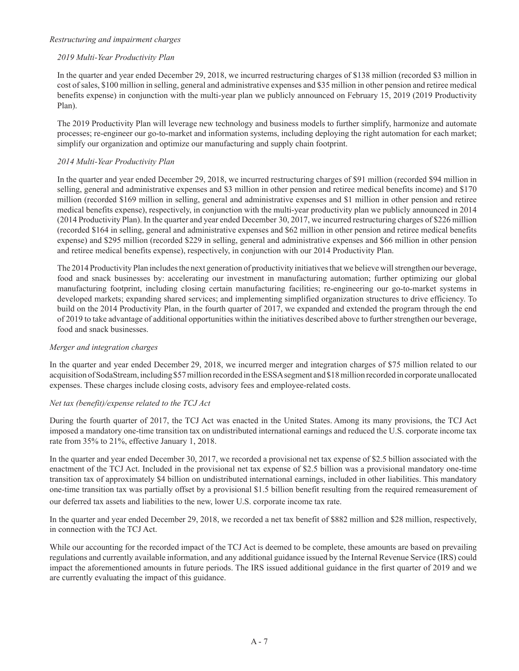#### *Restructuring and impairment charges*

### *2019 Multi-Year Productivity Plan*

In the quarter and year ended December 29, 2018, we incurred restructuring charges of \$138 million (recorded \$3 million in cost of sales, \$100 million in selling, general and administrative expenses and \$35 million in other pension and retiree medical benefits expense) in conjunction with the multi-year plan we publicly announced on February 15, 2019 (2019 Productivity Plan).

The 2019 Productivity Plan will leverage new technology and business models to further simplify, harmonize and automate processes; re-engineer our go-to-market and information systems, including deploying the right automation for each market; simplify our organization and optimize our manufacturing and supply chain footprint.

### *2014 Multi-Year Productivity Plan*

In the quarter and year ended December 29, 2018, we incurred restructuring charges of \$91 million (recorded \$94 million in selling, general and administrative expenses and \$3 million in other pension and retiree medical benefits income) and \$170 million (recorded \$169 million in selling, general and administrative expenses and \$1 million in other pension and retiree medical benefits expense), respectively, in conjunction with the multi-year productivity plan we publicly announced in 2014 (2014 Productivity Plan). In the quarter and year ended December 30, 2017, we incurred restructuring charges of \$226 million (recorded \$164 in selling, general and administrative expenses and \$62 million in other pension and retiree medical benefits expense) and \$295 million (recorded \$229 in selling, general and administrative expenses and \$66 million in other pension and retiree medical benefits expense), respectively, in conjunction with our 2014 Productivity Plan.

The 2014 Productivity Plan includes the next generation of productivity initiatives that we believe will strengthen our beverage, food and snack businesses by: accelerating our investment in manufacturing automation; further optimizing our global manufacturing footprint, including closing certain manufacturing facilities; re-engineering our go-to-market systems in developed markets; expanding shared services; and implementing simplified organization structures to drive efficiency. To build on the 2014 Productivity Plan, in the fourth quarter of 2017, we expanded and extended the program through the end of 2019 to take advantage of additional opportunities within the initiatives described above to further strengthen our beverage, food and snack businesses.

### *Merger and integration charges*

In the quarter and year ended December 29, 2018, we incurred merger and integration charges of \$75 million related to our acquisition of SodaStream, including \$57 million recorded in the ESSA segment and \$18 million recorded in corporate unallocated expenses. These charges include closing costs, advisory fees and employee-related costs.

### *Net tax (benefit)/expense related to the TCJ Act*

During the fourth quarter of 2017, the TCJ Act was enacted in the United States. Among its many provisions, the TCJ Act imposed a mandatory one-time transition tax on undistributed international earnings and reduced the U.S. corporate income tax rate from 35% to 21%, effective January 1, 2018.

In the quarter and year ended December 30, 2017, we recorded a provisional net tax expense of \$2.5 billion associated with the enactment of the TCJ Act. Included in the provisional net tax expense of \$2.5 billion was a provisional mandatory one-time transition tax of approximately \$4 billion on undistributed international earnings, included in other liabilities. This mandatory one-time transition tax was partially offset by a provisional \$1.5 billion benefit resulting from the required remeasurement of our deferred tax assets and liabilities to the new, lower U.S. corporate income tax rate.

In the quarter and year ended December 29, 2018, we recorded a net tax benefit of \$882 million and \$28 million, respectively, in connection with the TCJ Act.

While our accounting for the recorded impact of the TCJ Act is deemed to be complete, these amounts are based on prevailing regulations and currently available information, and any additional guidance issued by the Internal Revenue Service (IRS) could impact the aforementioned amounts in future periods. The IRS issued additional guidance in the first quarter of 2019 and we are currently evaluating the impact of this guidance.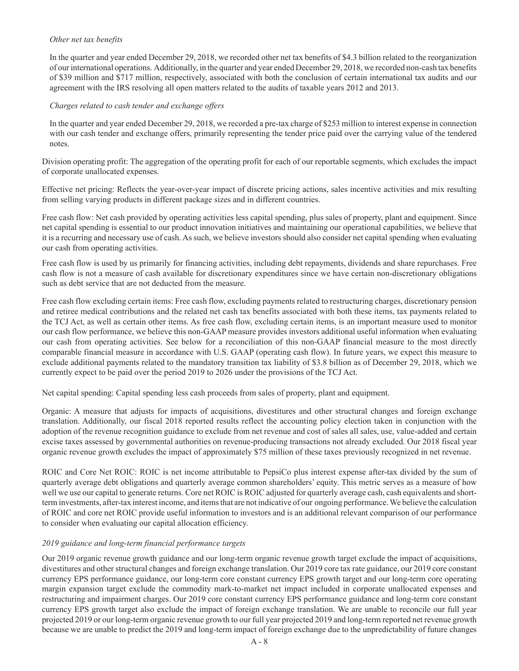### *Other net tax benefits*

In the quarter and year ended December 29, 2018, we recorded other net tax benefits of \$4.3 billion related to the reorganization of our international operations. Additionally, in the quarter and year ended December 29, 2018, we recorded non-cash tax benefits of \$39 million and \$717 million, respectively, associated with both the conclusion of certain international tax audits and our agreement with the IRS resolving all open matters related to the audits of taxable years 2012 and 2013.

### *Charges related to cash tender and exchange offers*

In the quarter and year ended December 29, 2018, we recorded a pre-tax charge of \$253 million to interest expense in connection with our cash tender and exchange offers, primarily representing the tender price paid over the carrying value of the tendered notes.

Division operating profit: The aggregation of the operating profit for each of our reportable segments, which excludes the impact of corporate unallocated expenses.

Effective net pricing: Reflects the year-over-year impact of discrete pricing actions, sales incentive activities and mix resulting from selling varying products in different package sizes and in different countries.

Free cash flow: Net cash provided by operating activities less capital spending, plus sales of property, plant and equipment. Since net capital spending is essential to our product innovation initiatives and maintaining our operational capabilities, we believe that it is a recurring and necessary use of cash. As such, we believe investors should also consider net capital spending when evaluating our cash from operating activities.

Free cash flow is used by us primarily for financing activities, including debt repayments, dividends and share repurchases. Free cash flow is not a measure of cash available for discretionary expenditures since we have certain non-discretionary obligations such as debt service that are not deducted from the measure.

Free cash flow excluding certain items: Free cash flow, excluding payments related to restructuring charges, discretionary pension and retiree medical contributions and the related net cash tax benefits associated with both these items, tax payments related to the TCJ Act, as well as certain other items. As free cash flow, excluding certain items, is an important measure used to monitor our cash flow performance, we believe this non-GAAP measure provides investors additional useful information when evaluating our cash from operating activities. See below for a reconciliation of this non-GAAP financial measure to the most directly comparable financial measure in accordance with U.S. GAAP (operating cash flow). In future years, we expect this measure to exclude additional payments related to the mandatory transition tax liability of \$3.8 billion as of December 29, 2018, which we currently expect to be paid over the period 2019 to 2026 under the provisions of the TCJ Act.

Net capital spending: Capital spending less cash proceeds from sales of property, plant and equipment.

Organic: A measure that adjusts for impacts of acquisitions, divestitures and other structural changes and foreign exchange translation. Additionally, our fiscal 2018 reported results reflect the accounting policy election taken in conjunction with the adoption of the revenue recognition guidance to exclude from net revenue and cost of sales all sales, use, value-added and certain excise taxes assessed by governmental authorities on revenue-producing transactions not already excluded. Our 2018 fiscal year organic revenue growth excludes the impact of approximately \$75 million of these taxes previously recognized in net revenue.

ROIC and Core Net ROIC: ROIC is net income attributable to PepsiCo plus interest expense after-tax divided by the sum of quarterly average debt obligations and quarterly average common shareholders' equity. This metric serves as a measure of how well we use our capital to generate returns. Core net ROIC is ROIC adjusted for quarterly average cash, cash equivalents and shortterm investments, after-tax interest income, and items that are not indicative of our ongoing performance. We believe the calculation of ROIC and core net ROIC provide useful information to investors and is an additional relevant comparison of our performance to consider when evaluating our capital allocation efficiency.

### *2019 guidance and long-term financial performance targets*

Our 2019 organic revenue growth guidance and our long-term organic revenue growth target exclude the impact of acquisitions, divestitures and other structural changes and foreign exchange translation. Our 2019 core tax rate guidance, our 2019 core constant currency EPS performance guidance, our long-term core constant currency EPS growth target and our long-term core operating margin expansion target exclude the commodity mark-to-market net impact included in corporate unallocated expenses and restructuring and impairment charges. Our 2019 core constant currency EPS performance guidance and long-term core constant currency EPS growth target also exclude the impact of foreign exchange translation. We are unable to reconcile our full year projected 2019 or our long-term organic revenue growth to our full year projected 2019 and long-term reported net revenue growth because we are unable to predict the 2019 and long-term impact of foreign exchange due to the unpredictability of future changes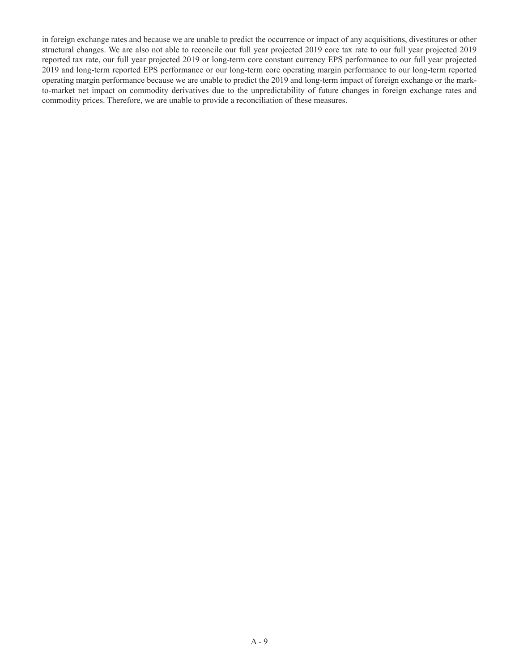in foreign exchange rates and because we are unable to predict the occurrence or impact of any acquisitions, divestitures or other structural changes. We are also not able to reconcile our full year projected 2019 core tax rate to our full year projected 2019 reported tax rate, our full year projected 2019 or long-term core constant currency EPS performance to our full year projected 2019 and long-term reported EPS performance or our long-term core operating margin performance to our long-term reported operating margin performance because we are unable to predict the 2019 and long-term impact of foreign exchange or the markto-market net impact on commodity derivatives due to the unpredictability of future changes in foreign exchange rates and commodity prices. Therefore, we are unable to provide a reconciliation of these measures.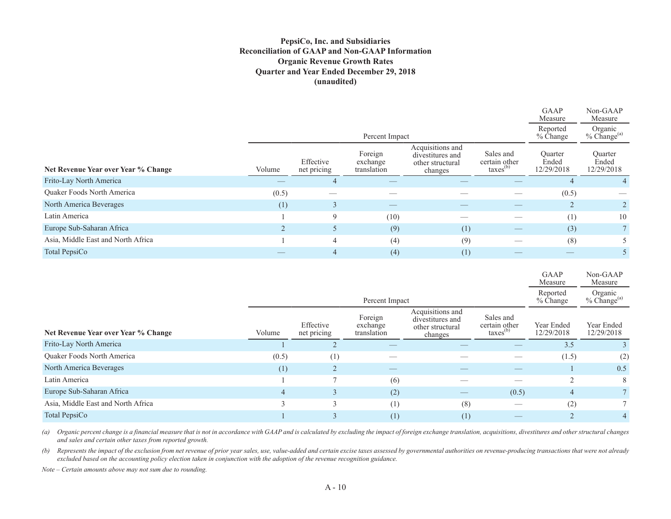### **PepsiCo, Inc. and Subsidiaries Reconciliation of GAAP and Non-GAAP Information Organic Revenue Growth Rates Quarter and Year Ended December 29, 2018 (unaudited)**

|                                     |                                          |                          |                                    |                                                                     |                                                    | GAAP<br>Measure                | Non-GAAP<br>Measure            |  |
|-------------------------------------|------------------------------------------|--------------------------|------------------------------------|---------------------------------------------------------------------|----------------------------------------------------|--------------------------------|--------------------------------|--|
|                                     | Reported<br>$%$ Change<br>Percent Impact |                          |                                    |                                                                     |                                                    |                                |                                |  |
| Net Revenue Year over Year % Change | Volume                                   | Effective<br>net pricing | Foreign<br>exchange<br>translation | Acquisitions and<br>divestitures and<br>other structural<br>changes | Sales and<br>certain other<br>$\text{taxes}^{(b)}$ | Ouarter<br>Ended<br>12/29/2018 | Ouarter<br>Ended<br>12/29/2018 |  |
| Frito-Lay North America             |                                          |                          |                                    |                                                                     |                                                    |                                |                                |  |
| <b>Ouaker Foods North America</b>   | (0.5)                                    |                          |                                    |                                                                     |                                                    | (0.5)                          |                                |  |
| North America Beverages             | (1)                                      | 3                        |                                    |                                                                     |                                                    |                                | $\overline{2}$                 |  |
| Latin America                       |                                          | 9                        | (10)                               |                                                                     |                                                    | (1)                            | 10                             |  |
| Europe Sub-Saharan Africa           |                                          | 5                        | (9)                                | (1)                                                                 | $\hspace{0.1mm}-\hspace{0.1mm}$                    | (3)                            | 7 <sup>1</sup>                 |  |
| Asia, Middle East and North Africa  |                                          | $\overline{4}$           | (4)                                | (9)                                                                 |                                                    | (8)                            |                                |  |
| Total PepsiCo                       |                                          |                          | (4)                                | (1)                                                                 |                                                    |                                |                                |  |

|                                     |        |                          |                                             |                                                                     |                                                    | Measure                  | Measure                        |
|-------------------------------------|--------|--------------------------|---------------------------------------------|---------------------------------------------------------------------|----------------------------------------------------|--------------------------|--------------------------------|
|                                     |        |                          | Percent Impact                              |                                                                     |                                                    | Reported<br>% Change     | Organic<br>$%$ Change $^{(a)}$ |
| Net Revenue Year over Year % Change | Volume | Effective<br>net pricing | Foreign<br>exchange<br>translation          | Acquisitions and<br>divestitures and<br>other structural<br>changes | Sales and<br>certain other<br>$\text{taxes}^{(b)}$ | Year Ended<br>12/29/2018 | Year Ended<br>12/29/2018       |
| Frito-Lay North America             |        |                          |                                             |                                                                     |                                                    | 3.5                      |                                |
| Quaker Foods North America          | (0.5)  | (1)                      |                                             |                                                                     |                                                    | (1.5)                    | (2)                            |
| North America Beverages             | (1)    | ∠                        | $\hspace{1.0cm} \overbrace{\hspace{1.0cm}}$ |                                                                     |                                                    |                          | 0.5                            |
| Latin America                       |        |                          | (6)                                         |                                                                     |                                                    | $\overline{2}$           | 8                              |
| Europe Sub-Saharan Africa           | 4      |                          | (2)                                         |                                                                     | (0.5)                                              | $\overline{4}$           |                                |
| Asia, Middle East and North Africa  | 3      |                          | (1)                                         | (8)                                                                 |                                                    | (2)                      |                                |
| Total PepsiCo                       |        |                          | (1)                                         | (1)                                                                 | __                                                 |                          | 4                              |

GAAP

Non-GAAP

*(a) Organic percent change is a financial measure that is not in accordance with GAAP and is calculated by excluding the impact of foreign exchange translation, acquisitions, divestitures and other structural changes and sales and certain other taxes from reported growth.*

*(b) Represents the impact of the exclusion from net revenue of prior year sales, use, value-added and certain excise taxes assessed by governmental authorities on revenue-producing transactions that were not already excluded based on the accounting policy election taken in conjunction with the adoption of the revenue recognition guidance.*

*Note – Certain amounts above may not sum due to rounding.*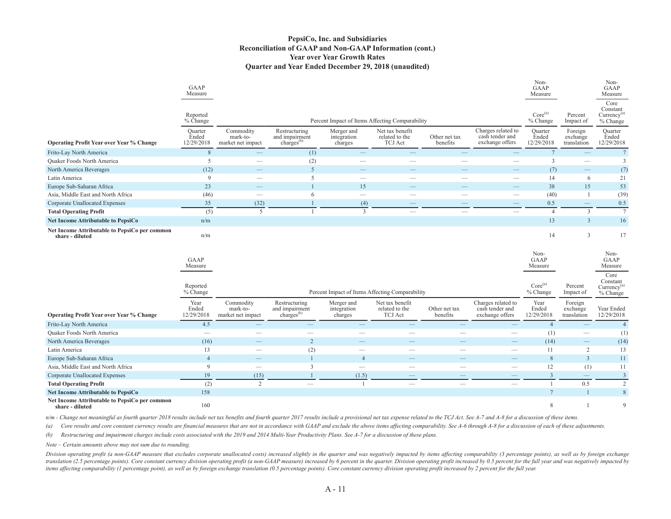#### **PepsiCo, Inc. and Subsidiaries Reconciliation of GAAP and Non-GAAP Information (cont.) Year over Year Growth Rates Quarter and Year Ended December 29, 2018 (unaudited)**

|                                                                  | GAAP<br>Measure                |                                            |                                                           |                                      |                                                     |                           |                                                          | Non-<br>GAAP<br>Measure                        |                                    | Non-<br>GAAP<br>Measure                                                |
|------------------------------------------------------------------|--------------------------------|--------------------------------------------|-----------------------------------------------------------|--------------------------------------|-----------------------------------------------------|---------------------------|----------------------------------------------------------|------------------------------------------------|------------------------------------|------------------------------------------------------------------------|
|                                                                  | Reported<br>% Change           |                                            |                                                           |                                      | Percent Impact of Items Affecting Comparability     |                           |                                                          | Core <sup>(a)</sup><br>% Change                | Percent<br>Impact of               | Core<br>Constant<br>$Currency$ <sup>(a)</sup><br>% Change              |
| <b>Operating Profit Year over Year % Change</b>                  | Quarter<br>Ended<br>12/29/2018 | Commodity<br>mark-to-<br>market net impact | Restructuring<br>and impairment<br>charges <sup>(b)</sup> | Merger and<br>integration<br>charges | Net tax benefit<br>related to the<br><b>TCJ</b> Act | Other net tax<br>benefits | Charges related to<br>cash tender and<br>exchange offers | Quarter<br>Ended<br>12/29/2018                 | Foreign<br>exchange<br>translation | Quarter<br>Ended<br>12/29/2018                                         |
| Frito-Lay North America                                          | $\,8\,$                        |                                            | (1)                                                       | $\overline{\phantom{a}}$             |                                                     |                           |                                                          | $7\phantom{.0}$                                |                                    | $7\phantom{.0}$                                                        |
| <b>Quaker Foods North America</b>                                | 5                              |                                            | (2)                                                       |                                      |                                                     |                           |                                                          | $\overline{3}$                                 |                                    | 3                                                                      |
| North America Beverages                                          | (12)                           |                                            | 5                                                         |                                      |                                                     |                           |                                                          | (7)                                            |                                    | (7)                                                                    |
| Latin America                                                    | 9                              |                                            | 5                                                         | $\overline{\phantom{a}}$             |                                                     |                           | $\overline{\phantom{0}}$                                 | 14                                             | 6                                  | 21                                                                     |
| Europe Sub-Saharan Africa                                        | 23                             |                                            |                                                           | 15                                   |                                                     |                           |                                                          | 38                                             | 15                                 | 53                                                                     |
| Asia, Middle East and North Africa                               | (46)                           |                                            | 6                                                         | $\equiv$                             |                                                     |                           | $\overline{\phantom{0}}$                                 | (40)                                           |                                    | (39)                                                                   |
| Corporate Unallocated Expenses                                   | 35                             | (32)                                       |                                                           | (4)                                  |                                                     |                           | $\qquad \qquad \longleftarrow$                           | 0.5                                            | $\qquad \qquad -$                  | 0.5                                                                    |
| <b>Total Operating Profit</b>                                    | (5)                            | 5                                          |                                                           | $\mathfrak{Z}$                       |                                                     | $\overline{\phantom{0}}$  |                                                          | $\overline{4}$                                 | 3                                  | $7\phantom{.0}$                                                        |
| <b>Net Income Attributable to PepsiCo</b>                        | n/m                            |                                            |                                                           |                                      |                                                     |                           |                                                          | 13                                             | 3                                  | 16                                                                     |
| Net Income Attributable to PepsiCo per common<br>share - diluted | n/m                            |                                            |                                                           |                                      |                                                     |                           |                                                          | 14                                             | $\mathfrak{Z}$                     | 17                                                                     |
|                                                                  | GAAP<br>Measure<br>Reported    |                                            |                                                           |                                      |                                                     |                           |                                                          | Non-<br>GAAP<br>Measure<br>Core <sup>(a)</sup> | Percent                            | Non-<br>GAAP<br>Measure<br>Core<br>Constant<br>Currency <sup>(a)</sup> |
|                                                                  | % Change                       |                                            |                                                           |                                      | Percent Impact of Items Affecting Comparability     |                           |                                                          | % Change                                       | Impact of                          | % Change                                                               |
| <b>Operating Profit Year over Year % Change</b>                  | Year<br>Ended<br>12/29/2018    | Commodity<br>mark-to-<br>market net impact | Restructuring<br>and impairment<br>charges <sup>(b)</sup> | Merger and<br>integration<br>charges | Net tax benefit<br>related to the<br><b>TCJ</b> Act | Other net tax<br>benefits | Charges related to<br>cash tender and<br>exchange offers | Year<br>Ended<br>12/29/2018                    | Foreign<br>exchange<br>translation | Year Ended<br>12/29/2018                                               |
| Frito-Lay North America                                          | 4.5                            |                                            |                                                           |                                      |                                                     |                           |                                                          | $\overline{4}$                                 |                                    | $\overline{4}$                                                         |
| <b>Quaker Foods North America</b>                                |                                | $\overline{\phantom{0}}$                   |                                                           |                                      | e e                                                 | $\overline{\phantom{0}}$  |                                                          | (1)                                            | $\overline{\phantom{a}}$           | (1)                                                                    |
| North America Beverages                                          | (16)                           |                                            | $\overline{2}$                                            |                                      |                                                     |                           |                                                          | (14)                                           | $\overline{\phantom{0}}$           | (14)                                                                   |
| Latin America                                                    | 13                             | $\overline{\phantom{0}}$                   | (2)                                                       | $\overline{\phantom{0}}$             |                                                     | $\overline{\phantom{a}}$  | $\overline{\phantom{0}}$                                 | 11                                             | 2                                  | 13                                                                     |
| Europe Sub-Saharan Africa                                        | $\overline{4}$                 |                                            |                                                           | $\overline{4}$                       |                                                     |                           |                                                          | 8                                              | $\overline{\mathbf{3}}$            | 11                                                                     |
| Asia, Middle East and North Africa                               | 9                              | $\hspace{0.05cm}$                          | $\mathbf{3}$                                              | $\equiv$                             |                                                     | $\overline{\phantom{m}}$  | $\qquad \qquad$                                          | 12                                             | (1)                                | 11                                                                     |
| <b>Corporate Unallocated Expenses</b>                            | 19                             | (15)                                       |                                                           | (1.5)                                | $\overline{\phantom{0}}$                            | $\sim$                    | -                                                        | $\mathbf{3}$                                   | $\overline{\phantom{0}}$           | $\overline{3}$                                                         |
| <b>Total Operating Profit</b>                                    | (2)                            | 2                                          |                                                           | -1                                   | $\qquad \qquad -$                                   | $\qquad \qquad =$         | $\overline{\phantom{a}}$                                 |                                                | 0.5                                | $\overline{c}$                                                         |
| <b>Net Income Attributable to PepsiCo</b>                        | 158                            |                                            |                                                           |                                      |                                                     |                           |                                                          | $7\overline{ }$                                |                                    | $\,8\,$                                                                |
| Net Income Attributable to PepsiCo per common<br>share - diluted | 160                            |                                            |                                                           |                                      |                                                     |                           |                                                          | 8                                              |                                    | $\mathbf Q$                                                            |

n/m - Change not meaningful as fourth quarter 2018 results include net tax benefits and fourth quarter 2017 results include a provisional net tax expense related to the TCJ Act. See A-7 and A-8 for a discussion of these it

(a) Core results and core constant currency results are financial measures that are not in accordance with GAAP and exclude the above items affecting comparability. See A-6 through A-8 for a discussion of each of these adj

*(b) Restructuring and impairment charges include costs associated with the 2019 and 2014 Multi-Year Productivity Plans. See A-7 for a discussion of these plans.*

*Note – Certain amounts above may not sum due to rounding.*

Division operating profit (a non-GAAP measure that excludes corporate unallocated costs) increased slightly in the quarter and was negatively impacted by items affecting comparability (3 percentage points), as well as by f translation (2.5 percentage points). Core constant currency division operating profit (a non-GAAP measure) increased by 6 percent in the quarter. Division operating profit increased by 0.5 percent for the full year and was *items affecting comparability (1 percentage point), as well as by foreign exchange translation (0.5 percentage points). Core constant currency division operating profit increased by 2 percent for the full year.*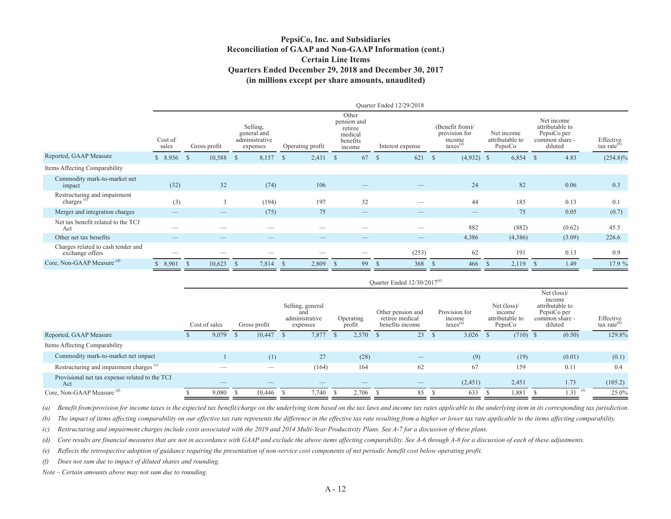### **PepsiCo, Inc. and Subsidiaries Reconciliation of GAAP and Non-GAAP Information (cont.) Certain Line ItemsQuarters Ended December 29, 2018 and December 30, 2017 (in millions except per share amounts, unaudited)**

|                                                       |                          |                          |                                                       |                  |                                                                  | Ouarter Ended 12/29/2018        |                                                             |                                          |                                                                           |                                      |
|-------------------------------------------------------|--------------------------|--------------------------|-------------------------------------------------------|------------------|------------------------------------------------------------------|---------------------------------|-------------------------------------------------------------|------------------------------------------|---------------------------------------------------------------------------|--------------------------------------|
|                                                       | Cost of<br>sales         | Gross profit             | Selling,<br>general and<br>administrative<br>expenses | Operating profit | Other<br>pension and<br>retiree<br>medical<br>benefits<br>income | Interest expense                | (Benefit from)/<br>provision for<br>income<br>$taxes^{(a)}$ | Net income<br>attributable to<br>PepsiCo | Net income<br>attributable to<br>PepsiCo per<br>common share -<br>diluted | Effective<br>tax rate <sup>(b)</sup> |
| Reported, GAAP Measure                                | \$8,936                  | 10,588 \$<br>$^{\circ}$  | 8,157                                                 | 2,431<br>-S      | 67<br>-S                                                         | 621<br>- \$                     | $(4,932)$ \$<br>-S                                          | 6,854                                    | 4.83<br>-S                                                                | $(254.8)\%$                          |
| Items Affecting Comparability                         |                          |                          |                                                       |                  |                                                                  |                                 |                                                             |                                          |                                                                           |                                      |
| Commodity mark-to-market net<br>impact                | (32)                     | 32                       | (74)                                                  | 106              |                                                                  |                                 | 24                                                          | 82                                       | 0.06                                                                      | 0.3                                  |
| Restructuring and impairment<br>charges $\circ$       | (3)                      | 3                        | (194)                                                 | 197              | 32                                                               |                                 | 44                                                          | 185                                      | 0.13                                                                      | 0.1                                  |
| Merger and integration charges                        |                          |                          | (75)                                                  | 75               |                                                                  |                                 |                                                             | 75                                       | 0.05                                                                      | (0.7)                                |
| Net tax benefit related to the TCJ<br>Act             |                          |                          |                                                       |                  |                                                                  | _                               | 882                                                         | (882)                                    | (0.62)                                                                    | 45.5                                 |
| Other net tax benefits                                | $\overline{\phantom{a}}$ | $\overline{\phantom{a}}$ | __                                                    |                  |                                                                  | $\hspace{0.1mm}-\hspace{0.1mm}$ | 4,386                                                       | (4,386)                                  | (3.09)                                                                    | 226.6                                |
| Charges related to cash tender and<br>exchange offers |                          |                          |                                                       |                  |                                                                  | (253)                           | 62                                                          | 191                                      | 0.13                                                                      | 0.9                                  |
| Core, Non-GAAP Measure <sup>(d)</sup>                 | 8,901                    | 10,623<br>- \$           | 7,814                                                 | 2,809<br>-8      | 99                                                               | 368                             | 466                                                         | 2,119<br>-S                              | 1.49                                                                      | 17.9 %                               |

|                                                       | Ouarter Ended $12/30/2017^{(e)}$ |                                 |  |              |  |                                                       |  |                     |  |                                                         |  |                                                 |                                                               |                                                                                              |                                      |
|-------------------------------------------------------|----------------------------------|---------------------------------|--|--------------|--|-------------------------------------------------------|--|---------------------|--|---------------------------------------------------------|--|-------------------------------------------------|---------------------------------------------------------------|----------------------------------------------------------------------------------------------|--------------------------------------|
|                                                       |                                  | Cost of sales                   |  | Gross profit |  | Selling, general<br>and<br>administrative<br>expenses |  | Operating<br>profit |  | Other pension and<br>retiree medical<br>benefits income |  | Provision for<br>income<br>$\text{taxes}^{(a)}$ | Net $(\text{loss})$ /<br>income<br>attributable to<br>PepsiCo | Net $(\text{loss})$<br>income<br>attributable to<br>PepsiCo per<br>common share -<br>diluted | Effective<br>$\text{tax rate}^{(b)}$ |
| Reported, GAAP Measure                                |                                  | 9,079                           |  | 10,447       |  | 7,877                                                 |  | $2,570$ \$          |  | 23                                                      |  | 3,026                                           | $(710)$ \$                                                    | (0.50)                                                                                       | 129.8%                               |
| Items Affecting Comparability                         |                                  |                                 |  |              |  |                                                       |  |                     |  |                                                         |  |                                                 |                                                               |                                                                                              |                                      |
| Commodity mark-to-market net impact                   |                                  |                                 |  | (1)          |  | 27                                                    |  | (28)                |  | $\overline{\phantom{m}}$                                |  | (9)                                             | (19)                                                          | (0.01)                                                                                       | (0.1)                                |
| Restructuring and impairment charges <sup>(c)</sup>   |                                  |                                 |  | __           |  | (164)                                                 |  | 164                 |  | 62                                                      |  | 67                                              | 159                                                           | 0.11                                                                                         | 0.4                                  |
| Provisional net tax expense related to the TCJ<br>Act |                                  | $\hspace{0.1mm}-\hspace{0.1mm}$ |  | –            |  | $-$                                                   |  | __                  |  | $\qquad \qquad - \qquad$                                |  | (2,451)                                         | 2,451                                                         | 1.73                                                                                         | (105.2)                              |
| Core, Non-GAAP Measure (d)                            |                                  | 9,080                           |  | 10,446       |  | 7,740                                                 |  | $2,706$ \$          |  | 85                                                      |  | 633                                             | 1,881                                                         | $1.31$ <sup>(f)</sup>                                                                        | 25.0%                                |

*(a) Benefit from/provision for income taxes is the expected tax benefit/charge on the underlying item based on the tax laws and income tax rates applicable to the underlying item in its corresponding tax jurisdiction.*

*(b) The impact of items affecting comparability on our effective tax rate represents the difference in the effective tax rate resulting from a higher or lower tax rate applicable to the items affecting comparability.*

*(c) Restructuring and impairment charges include costs associated with the 2019 and 2014 Multi-Year Productivity Plans. See A-7 for a discussion of these plans.*

*(d) Core results are financial measures that are not in accordance with GAAP and exclude the above items affecting comparability. See A-6 through A-8 for a discussion of each of these adjustments.*

*(e) Reflects the retrospective adoption of guidance requiring the presentation of non-service cost components of net periodic benefit cost below operating profit.* 

*(f) Does not sum due to impact of diluted shares and rounding.* 

*Note – Certain amounts above may not sum due to rounding.*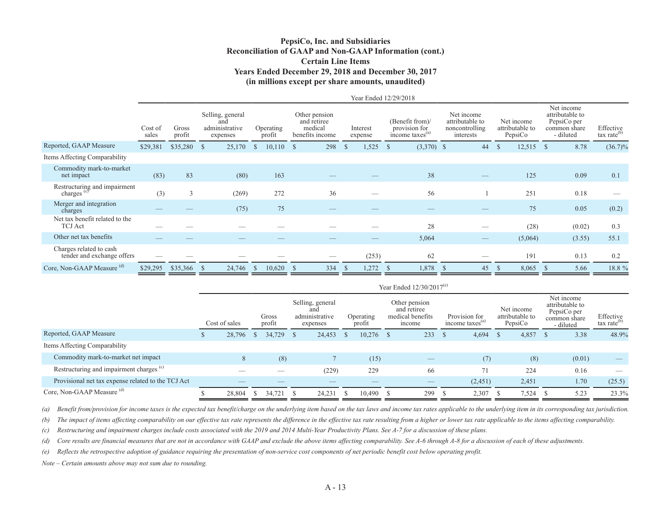### **PepsiCo, Inc. and Subsidiaries Reconciliation of GAAP and Non-GAAP Information (cont.) Certain Line Items Years Ended December 29, 2018 and December 30, 2017 (in millions except per share amounts, unaudited)**

|                                                        |                  |                 |                                                       |                         |                                                            |                       | Year Ended 12/29/2018                                           |                                                              |                                          |                                                                           |                                      |
|--------------------------------------------------------|------------------|-----------------|-------------------------------------------------------|-------------------------|------------------------------------------------------------|-----------------------|-----------------------------------------------------------------|--------------------------------------------------------------|------------------------------------------|---------------------------------------------------------------------------|--------------------------------------|
|                                                        | Cost of<br>sales | Gross<br>profit | Selling, general<br>and<br>administrative<br>expenses | Operating<br>profit     | Other pension<br>and retiree<br>medical<br>benefits income | Interest<br>expense   | (Benefit from)/<br>provision for<br>income taxes <sup>(a)</sup> | Net income<br>attributable to<br>noncontrolling<br>interests | Net income<br>attributable to<br>PepsiCo | Net income<br>attributable to<br>PepsiCo per<br>common share<br>- diluted | Effective<br>tax rate <sup>(b)</sup> |
| Reported, GAAP Measure                                 | \$29,381         | \$35,280        | 25,170<br>- \$                                        | 10,110<br><sup>\$</sup> | 298<br>- S                                                 | 1,525<br><sup>S</sup> | $(3,370)$ \$<br><sup>\$</sup>                                   | 44                                                           | $\mathbb{S}$<br>12,515                   | 8.78<br><sup>\$</sup>                                                     | $(36.7)\%$                           |
| Items Affecting Comparability                          |                  |                 |                                                       |                         |                                                            |                       |                                                                 |                                                              |                                          |                                                                           |                                      |
| Commodity mark-to-market<br>net impact                 | (83)             | 83              | (80)                                                  | 163                     |                                                            |                       | 38                                                              | $\qquad \qquad$                                              | 125                                      | 0.09                                                                      | 0.1                                  |
| Restructuring and impairment<br>charges <sup>(c)</sup> | (3)              | 3               | (269)                                                 | 272                     | 36                                                         |                       | 56                                                              |                                                              | 251                                      | 0.18                                                                      |                                      |
| Merger and integration<br>charges                      |                  |                 | (75)                                                  | 75                      |                                                            |                       |                                                                 |                                                              | 75                                       | 0.05                                                                      | (0.2)                                |
| Net tax benefit related to the<br><b>TCJ</b> Act       |                  |                 |                                                       |                         |                                                            |                       | 28                                                              | $\overline{\phantom{a}}$                                     | (28)                                     | (0.02)                                                                    | 0.3                                  |
| Other net tax benefits                                 |                  |                 |                                                       |                         |                                                            |                       | 5,064                                                           |                                                              | (5,064)                                  | (3.55)                                                                    | 55.1                                 |
| Charges related to cash<br>tender and exchange offers  |                  |                 |                                                       |                         |                                                            | (253)                 | 62                                                              |                                                              | 191                                      | 0.13                                                                      | 0.2                                  |
| Core, Non-GAAP Measure (d)                             | \$29,295         | \$35,366        | 24,746<br>-S                                          | 10,620<br>$\mathcal{P}$ | 334<br><sup>8</sup>                                        | 1,272<br><sup>3</sup> | 1,878<br>ъ                                                      | 45<br>- 55                                                   | 8,065<br>$\mathbb{S}$                    | 5.66<br><sup>8</sup>                                                      | 18.8 %                               |

|                                                     | Year Ended $12/30/2017^{(e)}$ |        |              |                 |    |                                                       |  |                     |  |                                                            |    |                                              |    |                                          |    |                                                                           |                                      |
|-----------------------------------------------------|-------------------------------|--------|--------------|-----------------|----|-------------------------------------------------------|--|---------------------|--|------------------------------------------------------------|----|----------------------------------------------|----|------------------------------------------|----|---------------------------------------------------------------------------|--------------------------------------|
|                                                     | Cost of sales                 |        |              | Gross<br>profit |    | Selling, general<br>and<br>administrative<br>expenses |  | Operating<br>profit |  | Other pension<br>and retiree<br>medical benefits<br>income |    | Provision for<br>income taxes <sup>(a)</sup> |    | Net income<br>attributable to<br>PepsiCo |    | Net income<br>attributable to<br>PepsiCo per<br>common share<br>- diluted | Effective<br>tax rate <sup>(b)</sup> |
| Reported, GAAP Measure                              |                               | 28,796 | <sup>S</sup> | 34,729          | -S | 24,453                                                |  | $10,276$ \$         |  | 233                                                        | -S | 4,694                                        | -S | 4,857                                    | -S | 3.38                                                                      | 48.9%                                |
| Items Affecting Comparability                       |                               |        |              |                 |    |                                                       |  |                     |  |                                                            |    |                                              |    |                                          |    |                                                                           |                                      |
| Commodity mark-to-market net impact                 |                               | 8      |              | (8)             |    |                                                       |  | (15)                |  |                                                            |    | (7)                                          |    | (8)                                      |    | (0.01)                                                                    |                                      |
| Restructuring and impairment charges <sup>(c)</sup> |                               |        |              |                 |    | (229)                                                 |  | 229                 |  | 66                                                         |    | 71                                           |    | 224                                      |    | 0.16                                                                      |                                      |
| Provisional net tax expense related to the TCJ Act  |                               |        |              |                 |    |                                                       |  |                     |  |                                                            |    | (2,451)                                      |    | 2,451                                    |    | 1.70                                                                      | (25.5)                               |
| Core, Non-GAAP Measure (d)                          |                               | 28,804 |              | 34,721          |    | 24,231                                                |  | 10,490              |  | 299                                                        |    | 2,307                                        |    | 7,524                                    |    | 5.23                                                                      | 23.3%                                |

*(a) Benefit from/provision for income taxes is the expected tax benefit/charge on the underlying item based on the tax laws and income tax rates applicable to the underlying item in its corresponding tax jurisdiction.*

*(b) The impact of items affecting comparability on our effective tax rate represents the difference in the effective tax rate resulting from a higher or lower tax rate applicable to the items affecting comparability.*

*(c) Restructuring and impairment charges include costs associated with the 2019 and 2014 Multi-Year Productivity Plans. See A-7 for a discussion of these plans.*

*(d) Core results are financial measures that are not in accordance with GAAP and exclude the above items affecting comparability. See A-6 through A-8 for a discussion of each of these adjustments.*

*(e) Reflects the retrospective adoption of guidance requiring the presentation of non-service cost components of net periodic benefit cost below operating profit.* 

*Note – Certain amounts above may not sum due to rounding.*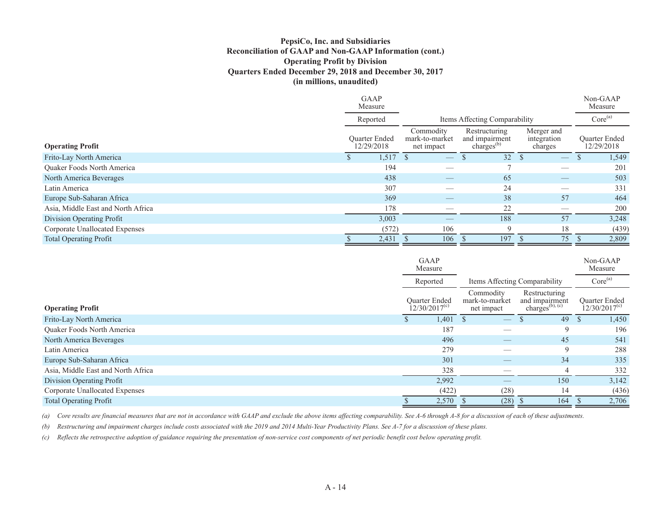### **PepsiCo, Inc. and Subsidiaries Reconciliation of GAAP and Non-GAAP Information (cont.) Operating Profit by Division Quarters Ended December 29, 2018 and December 30, 2017 (in millions, unaudited)**

|                                    | GAAP<br>Measure                    |                                           |                                                           |                                      | Non-GAAP<br>Measure                |
|------------------------------------|------------------------------------|-------------------------------------------|-----------------------------------------------------------|--------------------------------------|------------------------------------|
|                                    | Reported                           | Items Affecting Comparability             | Core <sup>(a)</sup>                                       |                                      |                                    |
| <b>Operating Profit</b>            | <b>Ouarter Ended</b><br>12/29/2018 | Commodity<br>mark-to-market<br>net impact | Restructuring<br>and impairment<br>charges <sup>(b)</sup> | Merger and<br>integration<br>charges | <b>Ouarter Ended</b><br>12/29/2018 |
| Frito-Lay North America            | 1,517                              |                                           | 32 <sup>°</sup>                                           |                                      | 1,549                              |
| <b>Ouaker Foods North America</b>  | 194                                |                                           |                                                           |                                      | 201                                |
| North America Beverages            | 438                                |                                           | 65                                                        |                                      | 503                                |
| Latin America                      | 307                                |                                           | 24                                                        |                                      | 331                                |
| Europe Sub-Saharan Africa          | 369                                | $\overbrace{\hspace{25mm}}^{}$            | 38                                                        | 57                                   | 464                                |
| Asia, Middle East and North Africa | 178                                |                                           | 22                                                        |                                      | 200                                |
| Division Operating Profit          | 3,003                              |                                           | 188                                                       | 57                                   | 3,248                              |
| Corporate Unallocated Expenses     | (572)                              | 106                                       | $\mathbf Q$                                               | 18                                   | (439)                              |
| <b>Total Operating Profit</b>      | 2,431                              | 106                                       | 197                                                       | 75                                   | 2,809                              |

|                                    | GAAP<br>Measure                            |                                             |                                            | Non-GAAP<br>Measure |
|------------------------------------|--------------------------------------------|---------------------------------------------|--------------------------------------------|---------------------|
|                                    | Reported                                   | Items Affecting Comparability               |                                            | Core <sup>(a)</sup> |
| <b>Operating Profit</b>            | <b>Ouarter Ended</b><br>$12/30/2017^{(c)}$ | Commodity<br>mark-to-market<br>net impact   | <b>Ouarter Ended</b><br>$12/30/2017^{(c)}$ |                     |
| Frito-Lay North America            | 1,401                                      |                                             | 49                                         | 1,450               |
| <b>Ouaker Foods North America</b>  | 187                                        |                                             | 9                                          | 196                 |
| North America Beverages            | 496                                        | $\hspace{1.0cm} \overbrace{\hspace{1.0cm}}$ | 45                                         | 541                 |
| Latin America                      | 279                                        |                                             | $\mathbf Q$                                | 288                 |
| Europe Sub-Saharan Africa          | 301                                        |                                             | 34                                         | 335                 |
| Asia, Middle East and North Africa | 328                                        |                                             |                                            | 332                 |
| Division Operating Profit          | 2,992                                      |                                             | 150                                        | 3,142               |
| Corporate Unallocated Expenses     | (422)                                      | (28)                                        | 14                                         | (436)               |
| <b>Total Operating Profit</b>      | 2,570                                      | (28)                                        | 164                                        | 2,706               |

*(a) Core results are financial measures that are not in accordance with GAAP and exclude the above items affecting comparability. See A-6 through A-8 for a discussion of each of these adjustments.*

*(b) Restructuring and impairment charges include costs associated with the 2019 and 2014 Multi-Year Productivity Plans. See A-7 for a discussion of these plans.*

*(c) Reflects the retrospective adoption of guidance requiring the presentation of non-service cost components of net periodic benefit cost below operating profit.*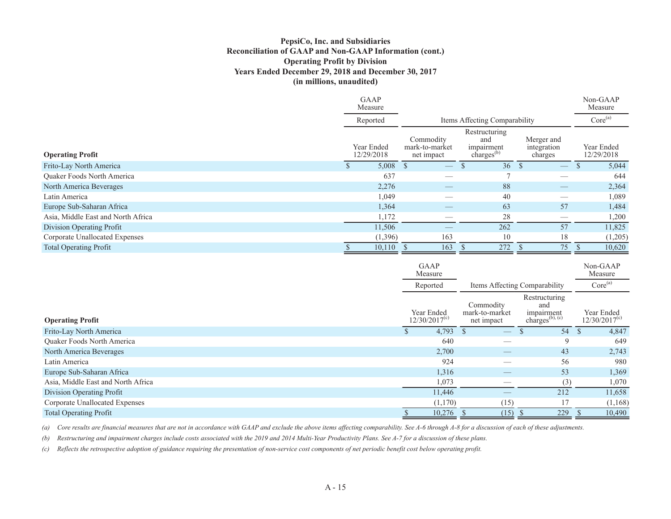### **PepsiCo, Inc. and Subsidiaries Reconciliation of GAAP and Non-GAAP Information (cont.) Operating Profit by Division Years Ended December 29, 2018 and December 30, 2017 (in millions, unaudited)**

|                                    | <b>GAAP</b><br>Measure   |                                           |                                                              |                                      | Non-GAAP<br>Measure      |
|------------------------------------|--------------------------|-------------------------------------------|--------------------------------------------------------------|--------------------------------------|--------------------------|
|                                    | Reported                 |                                           | Items Affecting Comparability                                |                                      | Core <sup>(a)</sup>      |
| <b>Operating Profit</b>            | Year Ended<br>12/29/2018 | Commodity<br>mark-to-market<br>net impact | Restructuring<br>and<br>impairment<br>charges <sup>(b)</sup> | Merger and<br>integration<br>charges | Year Ended<br>12/29/2018 |
| Frito-Lay North America            | $5,008$ \$               | $\overbrace{\hspace{25mm}}^{}$            | 36 <sup>°</sup>                                              |                                      | 5,044                    |
| <b>Ouaker Foods North America</b>  | 637                      |                                           |                                                              |                                      | 644                      |
| North America Beverages            | 2,276                    |                                           | 88                                                           |                                      | 2,364                    |
| Latin America                      | 1,049                    |                                           | 40                                                           |                                      | 1,089                    |
| Europe Sub-Saharan Africa          | 1,364                    | $\overbrace{\hspace{25mm}}^{}$            | 63                                                           | 57                                   | 1,484                    |
| Asia, Middle East and North Africa | 1,172                    |                                           | 28                                                           |                                      | 1,200                    |
| Division Operating Profit          | 11,506                   |                                           | 262                                                          | 57                                   | 11,825                   |
| Corporate Unallocated Expenses     | (1,396)                  | 163                                       | 10                                                           | 18                                   | (1,205)                  |
| <b>Total Operating Profit</b>      | 10,110                   | 163                                       | 272                                                          | 75                                   | 10,620                   |

|                                    | <b>GAAP</b><br>Measure                                                               |            |                                |                                                             | Non-GAAP<br>Measure                  |
|------------------------------------|--------------------------------------------------------------------------------------|------------|--------------------------------|-------------------------------------------------------------|--------------------------------------|
|                                    | Reported                                                                             |            |                                | Items Affecting Comparability                               | Core <sup>(a)</sup>                  |
| <b>Operating Profit</b>            | Commodity<br>Year Ended<br>mark-to-market<br>12/30/2017 <sup>(c)</sup><br>net impact |            |                                | Restructuring<br>and<br>impairment<br>charges $(b)$ , $(c)$ | Year Ended<br>$12/30/2017^{\rm (c)}$ |
| Frito-Lay North America            |                                                                                      | $4,793$ \$ |                                | 54                                                          | <sup>\$</sup><br>4,847               |
| Quaker Foods North America         |                                                                                      | 640        |                                | 9                                                           | 649                                  |
| North America Beverages            |                                                                                      | 2,700      | $\overbrace{\hspace{25mm}}^{}$ | 43                                                          | 2,743                                |
| Latin America                      |                                                                                      | 924        |                                | 56                                                          | 980                                  |
| Europe Sub-Saharan Africa          |                                                                                      | 1,316      |                                | 53                                                          | 1,369                                |
| Asia, Middle East and North Africa |                                                                                      | 1,073      |                                | (3)                                                         | 1,070                                |
| Division Operating Profit          |                                                                                      | 11,446     |                                | 212                                                         | 11,658                               |
| Corporate Unallocated Expenses     |                                                                                      | (1,170)    | (15)                           | 17                                                          | (1,168)                              |
| <b>Total Operating Profit</b>      |                                                                                      | 10,276     | (15)                           | 229                                                         | 10,490                               |

*(a) Core results are financial measures that are not in accordance with GAAP and exclude the above items affecting comparability. See A-6 through A-8 for a discussion of each of these adjustments.*

*(b) Restructuring and impairment charges include costs associated with the 2019 and 2014 Multi-Year Productivity Plans. See A-7 for a discussion of these plans.*

*(c) Reflects the retrospective adoption of guidance requiring the presentation of non-service cost components of net periodic benefit cost below operating profit.*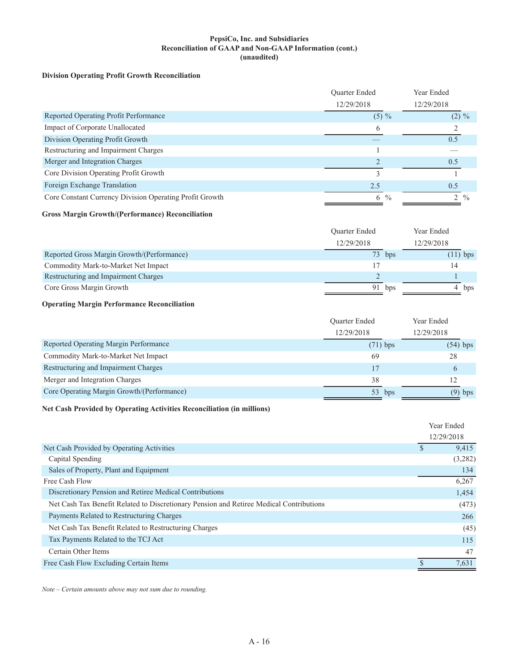#### **PepsiCo, Inc. and Subsidiaries Reconciliation of GAAP and Non-GAAP Information (cont.) (unaudited)**

#### **Division Operating Profit Growth Reconciliation**

|                                                         | Quarter Ended |               | Year Ended    |               |
|---------------------------------------------------------|---------------|---------------|---------------|---------------|
|                                                         | 12/29/2018    |               | 12/29/2018    |               |
| Reported Operating Profit Performance                   | $(5) \%$      |               | $(2) \%$      |               |
| Impact of Corporate Unallocated                         | $\mathsf{r}$  |               |               |               |
| Division Operating Profit Growth                        |               |               | 0.5           |               |
| Restructuring and Impairment Charges                    |               |               |               |               |
| Merger and Integration Charges                          |               |               | 0.5           |               |
| Core Division Operating Profit Growth                   |               |               |               |               |
| Foreign Exchange Translation                            | 2.5           |               | 0.5           |               |
| Core Constant Currency Division Operating Profit Growth | 6             | $\frac{0}{0}$ | $\mathcal{D}$ | $\frac{0}{0}$ |

#### **Gross Margin Growth/(Performance) Reconciliation**

|                                            | <b>Ouarter Ended</b> |        | Year Ended |
|--------------------------------------------|----------------------|--------|------------|
|                                            | 12/29/2018           |        | 12/29/2018 |
| Reported Gross Margin Growth/(Performance) |                      | 73 bps | $(11)$ bps |
| Commodity Mark-to-Market Net Impact        |                      |        |            |
| Restructuring and Impairment Charges       |                      |        |            |
| Core Gross Margin Growth                   | 91                   | bps    | bps        |

#### **Operating Margin Performance Reconciliation**

|                                            | <b>Ouarter Ended</b> | Year Ended<br>12/29/2018 |  |
|--------------------------------------------|----------------------|--------------------------|--|
|                                            | 12/29/2018           |                          |  |
| Reported Operating Margin Performance      | $(71)$ bps           | $(54)$ bps               |  |
| Commodity Mark-to-Market Net Impact        | 69                   | 28                       |  |
| Restructuring and Impairment Charges       | 17                   |                          |  |
| Merger and Integration Charges             | 38                   |                          |  |
| Core Operating Margin Growth/(Performance) | 53<br>bps            | $(9)$ bps                |  |

#### **Net Cash Provided by Operating Activities Reconciliation (in millions)**

|                                                                                         | Year Ended |         |
|-----------------------------------------------------------------------------------------|------------|---------|
|                                                                                         | 12/29/2018 |         |
| Net Cash Provided by Operating Activities                                               |            | 9,415   |
| Capital Spending                                                                        |            | (3,282) |
| Sales of Property, Plant and Equipment                                                  |            | 134     |
| Free Cash Flow                                                                          |            | 6,267   |
| Discretionary Pension and Retiree Medical Contributions                                 |            | 1,454   |
| Net Cash Tax Benefit Related to Discretionary Pension and Retiree Medical Contributions |            | (473)   |
| Payments Related to Restructuring Charges                                               |            | 266     |
| Net Cash Tax Benefit Related to Restructuring Charges                                   |            | (45)    |
| Tax Payments Related to the TCJ Act                                                     |            | 115     |
| Certain Other Items                                                                     |            | 47      |
| Free Cash Flow Excluding Certain Items                                                  |            | 7,631   |

*Note – Certain amounts above may not sum due to rounding.*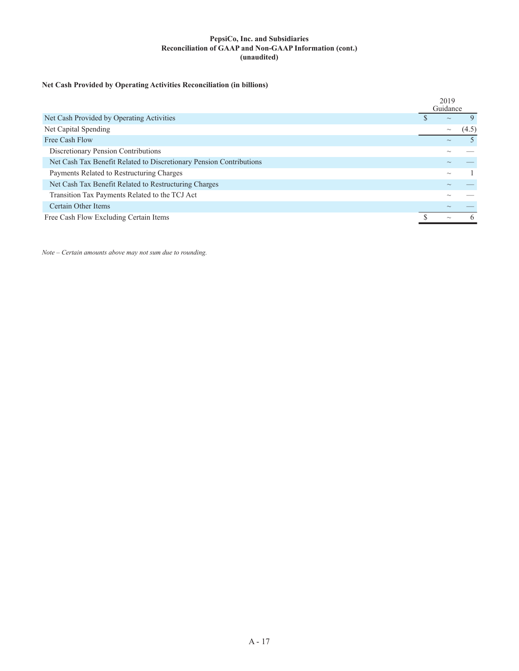#### **PepsiCo, Inc. and Subsidiaries Reconciliation of GAAP and Non-GAAP Information (cont.) (unaudited)**

### **Net Cash Provided by Operating Activities Reconciliation (in billions)**

|                                                                     | 2019<br>Guidance |                           |       |
|---------------------------------------------------------------------|------------------|---------------------------|-------|
| Net Cash Provided by Operating Activities                           |                  | $\sim$                    |       |
| Net Capital Spending                                                |                  | $\widetilde{\phantom{m}}$ | (4.5) |
| Free Cash Flow                                                      |                  | $\widetilde{\phantom{m}}$ |       |
| Discretionary Pension Contributions                                 |                  |                           |       |
| Net Cash Tax Benefit Related to Discretionary Pension Contributions |                  |                           |       |
| Payments Related to Restructuring Charges                           |                  | $\widetilde{\phantom{m}}$ |       |
| Net Cash Tax Benefit Related to Restructuring Charges               |                  |                           |       |
| Transition Tax Payments Related to the TCJ Act                      |                  |                           |       |
| Certain Other Items                                                 |                  |                           |       |
| Free Cash Flow Excluding Certain Items                              |                  | $\widetilde{\phantom{m}}$ |       |

*Note – Certain amounts above may not sum due to rounding.*